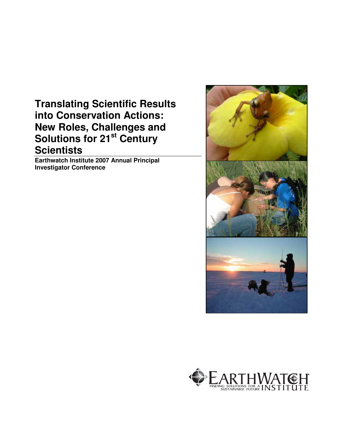# **Translating Scientific Results into Conservation Actions: New Roles, Challenges and Solutions for 21st Century Scientists**

**Earthwatch Institute 2007 Annual Principal Investigator Conference** 



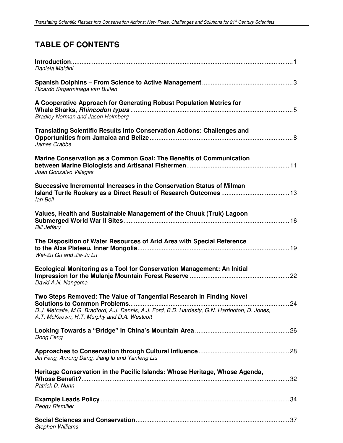# **TABLE OF CONTENTS**

| Daniela Maldini                                                                                                                                                                                                        |  |
|------------------------------------------------------------------------------------------------------------------------------------------------------------------------------------------------------------------------|--|
| Ricardo Sagarminaga van Buiten                                                                                                                                                                                         |  |
| A Cooperative Approach for Generating Robust Population Metrics for<br><b>Bradley Norman and Jason Holmberg</b>                                                                                                        |  |
| <b>Translating Scientific Results into Conservation Actions: Challenges and</b><br>James Crabbe                                                                                                                        |  |
| Marine Conservation as a Common Goal: The Benefits of Communication<br>Joan Gonzalvo Villegas                                                                                                                          |  |
| Successive Incremental Increases in the Conservation Status of Milman<br>lan Bell                                                                                                                                      |  |
| Values, Health and Sustainable Management of the Chuuk (Truk) Lagoon<br><b>Bill Jeffery</b>                                                                                                                            |  |
| The Disposition of Water Resources of Arid Area with Special Reference<br>Wei-Zu Gu and Jia-Ju Lu                                                                                                                      |  |
| Ecological Monitoring as a Tool for Conservation Management: An Initial<br>David A.N. Nangoma                                                                                                                          |  |
| Two Steps Removed: The Value of Tangential Research in Finding Novel<br>D.J. Metcalfe, M.G. Bradford, A.J. Dennis, A.J. Ford, B.D. Hardesty, G.N. Harrington, D. Jones,<br>A.T. McKeown, H.T. Murphy and D.A. Westcott |  |
| Dong Feng                                                                                                                                                                                                              |  |
| Jin Feng, Anrong Dang, Jiang lu and Yanfeng Liu                                                                                                                                                                        |  |
| Heritage Conservation in the Pacific Islands: Whose Heritage, Whose Agenda,<br>Patrick D. Nunn                                                                                                                         |  |
| <b>Peggy Rismiller</b>                                                                                                                                                                                                 |  |
| Stephen Williams                                                                                                                                                                                                       |  |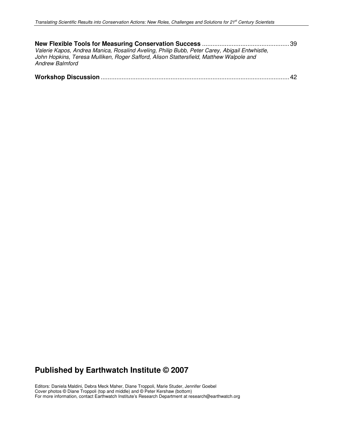| Valerie Kapos, Andrea Manica, Rosalind Aveling, Philip Bubb, Peter Carey, Abigail Entwhistle,<br>John Hopkins, Teresa Mulliken, Roger Safford, Alison Stattersfield, Matthew Walpole and<br><b>Andrew Balmford</b> |  |
|--------------------------------------------------------------------------------------------------------------------------------------------------------------------------------------------------------------------|--|
|                                                                                                                                                                                                                    |  |

# **Published by Earthwatch Institute © 2007**

Editors: Daniela Maldini, Debra Meck Maher, Diane Troppoli, Marie Studer, Jennifer Goebel Cover photos © Diane Troppoli (top and middle) and © Peter Kershaw (bottom) For more information, contact Earthwatch Institute's Research Department at research@earthwatch.org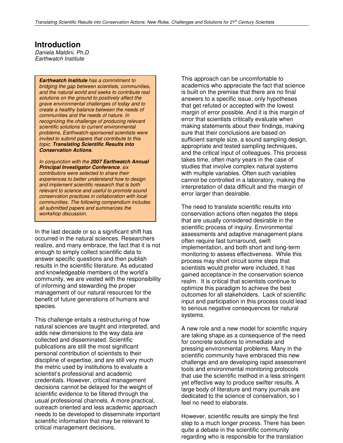### **Introduction**

Daniela Maldini, Ph.D. Earthwatch Institute

*Earthwatch Institute* has a commitment to bridging the gap between scientists, communities, and the natural world and seeks to contribute real solutions on the ground to positively affect the grave environmental challenges of today and to create a healthy balance between the needs of communities and the needs of nature. In recognizing the challenge of producing relevant scientific solutions to current environmental problems, Earthwatch-sponsored scientists were invited to submit papers that contribute to this topic: *Translating Scientific Results into Conservation Actions*.

In conjunction with the *2007 Earthwatch Annual Principal Investigator Conference*, six contributors were selected to share their experiences to better understand how to design and implement scientific research that is both relevant to science and useful to promote sound conservation practices in collaboration with local communities. The following compendium includes all submitted papers and summarizes the workshop discussion.

In the last decade or so a significant shift has occurred in the natural sciences. Researchers realize, and many embrace, the fact that it is not enough to simply collect scientific data to answer specific questions and then publish results in the scientific literature. As educated and knowledgeable members of the world's community, we are vested with the responsibility of informing and stewarding the proper management of our natural resources for the benefit of future generations of humans and species.

This challenge entails a restructuring of how natural sciences are taught and interpreted, and adds new dimensions to the way data are collected and disseminated. Scientific publications are still the most significant personal contribution of scientists to their discipline of expertise, and are still very much the metric used by institutions to evaluate a scientist's professional and academic credentials. However, critical management decisions cannot be delayed for the weight of scientific evidence to be filtered through the usual professional channels. A more practical, outreach oriented and less academic approach needs to be developed to disseminate important scientific information that may be relevant to critical management decisions.

This approach can be uncomfortable to academics who appreciate the fact that science is built on the premise that there are no final answers to a specific issue, only hypotheses that get refuted or accepted with the lowest margin of error possible. And it is this margin of error that scientists critically evaluate when making statements about their findings, making sure that their conclusions are based on sufficient sample size, a sound sampling design, appropriate and tested sampling techniques, and the critical input of colleagues. This process takes time, often many years in the case of studies that involve complex natural systems with multiple variables. Often such variables cannot be controlled in a laboratory, making the interpretation of data difficult and the margin of error larger than desirable.

The need to translate scientific results into conservation actions often negates the steps that are usually considered desirable in the scientific process of inquiry. Environmental assessments and adaptive management plans often require fast turnaround, swift implementation, and both short and long-term monitoring to assess effectiveness. While this process may short circuit some steps that scientists would prefer were included, it has gained acceptance in the conservation science realm. It is critical that scientists continue to optimize this paradigm to achieve the best outcomes for all stakeholders. Lack of scientific input and participation in this process could lead to serious negative consequences for natural systems.

A new role and a new model for scientific inquiry are taking shape as a consequence of the need for concrete solutions to immediate and pressing environmental problems. Many in the scientific community have embraced this new challenge and are developing rapid assessment tools and environmental monitoring protocols that use the scientific method in a less stringent yet effective way to produce swifter results. A large body of literature and many journals are dedicated to the science of conservation, so I feel no need to elaborate.

However, scientific results are simply the first step to a much longer process. There has been quite a debate in the scientific community regarding who is responsible for the translation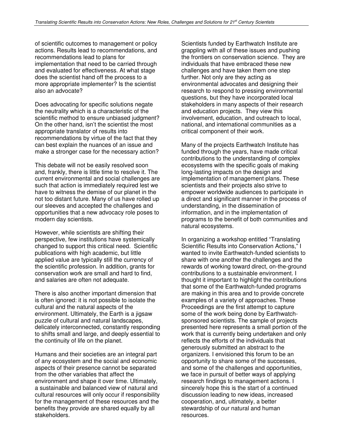of scientific outcomes to management or policy actions. Results lead to recommendations, and recommendations lead to plans for implementation that need to be carried through and evaluated for effectiveness. At what stage does the scientist hand off the process to a more appropriate implementer? Is the scientist also an advocate?

Does advocating for specific solutions negate the neutrality which is a characteristic of the scientific method to ensure unbiased judgment? On the other hand, isn't the scientist the most appropriate translator of results into recommendations by virtue of the fact that they can best explain the nuances of an issue and make a stronger case for the necessary action?

This debate will not be easily resolved soon and, frankly, there is little time to resolve it. The current environmental and social challenges are such that action is immediately required lest we have to witness the demise of our planet in the not too distant future. Many of us have rolled up our sleeves and accepted the challenges and opportunities that a new advocacy role poses to modern day scientists.

However, while scientists are shifting their perspective, few institutions have systemically changed to support this critical need. Scientific publications with high academic, but little applied value are typically still the currency of the scientific profession. In addition, grants for conservation work are small and hard to find, and salaries are often not adequate.

There is also another important dimension that is often ignored: it is not possible to isolate the cultural and the natural aspects of the environment. Ultimately, the Earth is a jigsaw puzzle of cultural and natural landscapes, delicately interconnected, constantly responding to shifts small and large, and deeply essential to the continuity of life on the planet.

Humans and their societies are an integral part of any ecosystem and the social and economic aspects of their presence cannot be separated from the other variables that affect the environment and shape it over time. Ultimately, a sustainable and balanced view of natural and cultural resources will only occur if responsibility for the management of these resources and the benefits they provide are shared equally by all stakeholders.

Scientists funded by Earthwatch Institute are grappling with all of these issues and pushing the frontiers on conservation science. They are individuals that have embraced these new challenges and have taken them one step further. Not only are they acting as environmental advocates and designing their research to respond to pressing environmental questions, but they have incorporated local stakeholders in many aspects of their research and education projects. They view this involvement, education, and outreach to local, national, and international communities as a critical component of their work.

Many of the projects Earthwatch Institute has funded through the years, have made critical contributions to the understanding of complex ecosystems with the specific goals of making long-lasting impacts on the design and implementation of management plans. These scientists and their projects also strive to empower worldwide audiences to participate in a direct and significant manner in the process of understanding, in the dissemination of information, and in the implementation of programs to the benefit of both communities and natural ecosystems.

In organizing a workshop entitled "Translating Scientific Results into Conservation Actions," I wanted to invite Earthwatch-funded scientists to share with one another the challenges and the rewards of working toward direct, on-the-ground contributions to a sustainable environment. I thought it important to highlight the contributions that some of the Earthwatch-funded programs are making in this area and to provide concrete examples of a variety of approaches. These Proceedings are the first attempt to capture some of the work being done by Earthwatchsponsored scientists. The sample of projects presented here represents a small portion of the work that is currently being undertaken and only reflects the efforts of the individuals that generously submitted an abstract to the organizers. I envisioned this forum to be an opportunity to share some of the successes, and some of the challenges and opportunities, we face in pursuit of better ways of applying research findings to management actions. I sincerely hope this is the start of a continued discussion leading to new ideas, increased cooperation, and, ultimately, a better stewardship of our natural and human resources.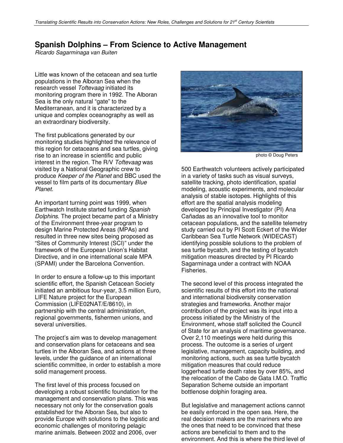### **Spanish Dolphins – From Science to Active Management**

Ricardo Sagarminaga van Buiten

Little was known of the cetacean and sea turtle populations in the Alboran Sea when the research vessel Toftevaag initiated its monitoring program there in 1992. The Alboran Sea is the only natural "gate" to the Mediterranean, and it is characterized by a unique and complex oceanography as well as an extraordinary biodiversity.

The first publications generated by our monitoring studies highlighted the relevance of this region for cetaceans and sea turtles, giving rise to an increase in scientific and public interest in the region. The R/V Toftevaag was visited by a National Geographic crew to produce Keeper of the Planet and BBC used the vessel to film parts of its documentary Blue Planet.

An important turning point was 1999, when Earthwatch Institute started funding Spanish Dolphins. The project became part of a Ministry of the Environment three-year program to design Marine Protected Areas (MPAs) and resulted in three new sites being proposed as "Sites of Community Interest (SCI)" under the framework of the European Union's Habitat Directive, and in one international scale MPA (SPAMI) under the Barcelona Convention.

In order to ensure a follow-up to this important scientific effort, the Spanish Cetacean Society initiated an ambitious four-year, 3.5 million Euro, LIFE Nature project for the European Commission (LIFE02NAT/E/8610), in partnership with the central administration, regional governments, fishermen unions, and several universities.

The project's aim was to develop management and conservation plans for cetaceans and sea turtles in the Alboran Sea, and actions at three levels, under the guidance of an international scientific committee, in order to establish a more solid management process.

The first level of this process focused on developing a robust scientific foundation for the management and conservation plans. This was necessary not only for the conservation goals established for the Alboran Sea, but also to provide Europe with solutions to the logistic and economic challenges of monitoring pelagic marine animals. Between 2002 and 2006, over



photo © Doug Peters

500 Earthwatch volunteers actively participated in a variety of tasks such as visual surveys, satellite tracking, photo identification, spatial modeling, acoustic experiments, and molecular analysis of stable isotopes. Highlights of this effort are the spatial analysis modeling developed by Principal Investigator (PI) Ana Cañadas as an innovative tool to monitor cetacean populations, and the satellite telemetry study carried out by PI Scott Eckert of the Wider Caribbean Sea Turtle Network (WIDECAST) identifying possible solutions to the problem of sea turtle bycatch, and the testing of bycatch mitigation measures directed by PI Ricardo Sagarminaga under a contract with NOAA Fisheries.

The second level of this process integrated the scientific results of this effort into the national and international biodiversity conservation strategies and frameworks. Another major contribution of the project was its input into a process initiated by the Ministry of the Environment, whose staff solicited the Council of State for an analysis of maritime governance. Over 2,110 meetings were held during this process. The outcome is a series of urgent legislative, management, capacity building, and monitoring actions, such as sea turtle bycatch mitigation measures that could reduce loggerhead turtle death rates by over 85%, and the relocation of the Cabo de Gata I.M.O. Traffic Separation Scheme outside an important bottlenose dolphin foraging area.

But legislative and management actions cannot be easily enforced in the open sea. Here, the real decision makers are the mariners who are the ones that need to be convinced that these actions are beneficial to them and to the environment. And this is where the third level of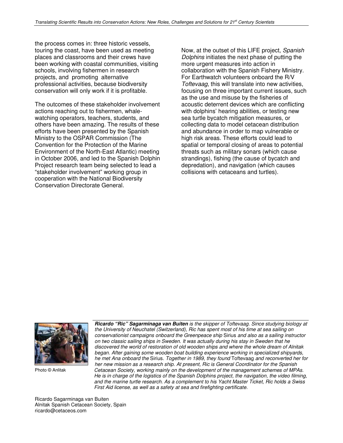the process comes in: three historic vessels, touring the coast, have been used as meeting places and classrooms and their crews have been working with coastal communities, visiting schools, involving fishermen in research projects, and promoting alternative professional activities, because biodiversity conservation will only work if it is profitable.

The outcomes of these stakeholder involvement actions reaching out to fishermen, whalewatching operators, teachers, students, and others have been amazing. The results of these efforts have been presented by the Spanish Ministry to the OSPAR Commission (The Convention for the Protection of the Marine Environment of the North-East Atlantic) meeting in October 2006, and led to the Spanish Dolphin Project research team being selected to lead a "stakeholder involvement" working group in cooperation with the National Biodiversity Conservation Directorate General.

Now, at the outset of this LIFE project, Spanish Dolphins initiates the next phase of putting the more urgent measures into action in collaboration with the Spanish Fishery Ministry. For Earthwatch volunteers onboard the R/V Toftevaag, this will translate into new activities. focusing on three important current issues, such as the use and misuse by the fisheries of acoustic deterrent devices which are conflicting with dolphins' hearing abilities, or testing new sea turtle bycatch mitigation measures, or collecting data to model cetacean distribution and abundance in order to map vulnerable or high risk areas. These efforts could lead to spatial or temporal closing of areas to potential threats such as military sonars (which cause strandings), fishing (the cause of bycatch and depredation), and navigation (which causes collisions with cetaceans and turtles).



Photo © Anlitak

 *Ricardo "Ric" Sagarminaga van Buiten* is the skipper of Toftevaag. Since studying biology at the University of Neuchatel (Switzerland), Ric has spent most of his time at sea sailing on conservationist campaigns onboard the Greenpeace ship Sirius and also as a sailing instructor on two classic sailing ships in Sweden. It was actually during his stay in Sweden that he discovered the world of restoration of old wooden ships and where the whole dream of Alnitak began. After gaining some wooden boat building experience working in specialized shipyards, he met Ana onboard the Sirius. Together in 1989, they found Toftevaag and reconverted her for her new mission as a research ship. At present, Ric is General Coordinator for the Spanish Cetacean Society, working mainly on the development of the management schemes of MPAs. He is in charge of the logistics of the Spanish Dolphins project, the navigation, the video filming, and the marine turtle research. As a complement to his Yacht Master Ticket, Ric holds a Swiss First Aid license, as well as a safety at sea and firefighting certificate.

Ricardo Sagarminaga van Buiten Alnitak Spanish Cetacean Society, Spain ricardo@cetaceos.com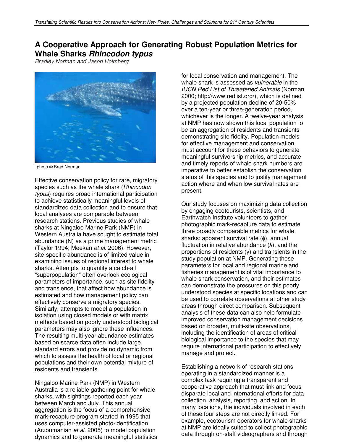### **A Cooperative Approach for Generating Robust Population Metrics for Whale Sharks** *Rhincodon typus*

Bradley Norman and Jason Holmberg



photo © Brad Norman

Effective conservation policy for rare, migratory species such as the whale shark (Rhincodon typus) requires broad international participation to achieve statistically meaningful levels of standardized data collection and to ensure that local analyses are comparable between research stations. Previous studies of whale sharks at Ningaloo Marine Park (NMP) in Western Australia have sought to estimate total abundance (N) as a prime management metric (Taylor 1994; Meekan et al. 2006). However, site-specific abundance is of limited value in examining issues of regional interest to whale sharks. Attempts to quantify a catch-all "superpopulation" often overlook ecological parameters of importance, such as site fidelity and transience, that affect how abundance is estimated and how management policy can effectively conserve a migratory species. Similarly, attempts to model a population in isolation using closed models or with matrix methods based on poorly understood biological parameters may also ignore these influences. The resulting multi-year abundance estimates based on scarce data often include large standard errors and provide no dynamic from which to assess the health of local or regional populations and their own potential mixture of residents and transients.

Ningaloo Marine Park (NMP) in Western Australia is a reliable gathering point for whale sharks, with sightings reported each year between March and July. This annual aggregation is the focus of a comprehensive mark-recapture program started in 1995 that uses computer-assisted photo-identification (Arzoumanian et al. 2005) to model population dynamics and to generate meaningful statistics for local conservation and management. The whale shark is assessed as *vulnerable* in the IUCN Red List of Threatened Animals (Norman 2000; http://www.redlist.org/), which is defined by a projected population decline of 20-50% over a ten-year or three-generation period, whichever is the longer. A twelve-year analysis at NMP has now shown this local population to be an aggregation of residents and transients demonstrating site fidelity. Population models for effective management and conservation must account for these behaviors to generate meaningful survivorship metrics, and accurate and timely reports of whale shark numbers are imperative to better establish the conservation status of this species and to justify management action where and when low survival rates are present.

Our study focuses on maximizing data collection by engaging ecotourists, scientists, and Earthwatch Institute volunteers to gather photographic mark-recapture data to estimate three broadly comparable metrics for whale sharks: apparent survival rate (φ), annual fluctuation in relative abundance  $(\lambda)$ , and the proportions of residents  $(y)$  and transients in the study population at NMP. Generating these parameters for local and regional marine and fisheries management is of vital importance to whale shark conservation, and their estimates can demonstrate the pressures on this poorly understood species at specific locations and can be used to correlate observations at other study areas through direct comparison. Subsequent analysis of these data can also help formulate improved conservation management decisions based on broader, multi-site observations, including the identification of areas of critical biological importance to the species that may require international participation to effectively manage and protect.

Establishing a network of research stations operating in a standardized manner is a complex task requiring a transparent and cooperative approach that must link and focus disparate local and international efforts for data collection, analysis, reporting, and action. In many locations, the individuals involved in each of these four steps are not directly linked. For example, ecotourism operators for whale sharks at NMP are ideally suited to collect photographic data through on-staff videographers and through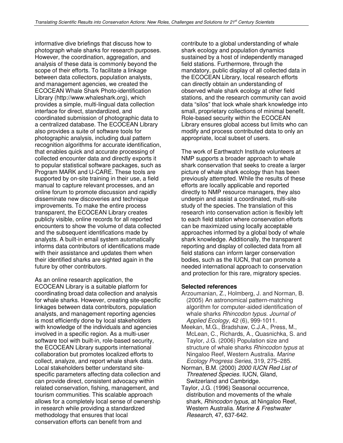informative dive briefings that discuss how to photograph whale sharks for research purposes. However, the coordination, aggregation, and analysis of these data is commonly beyond the scope of their efforts. To facilitate a linkage between data collectors, population analysts, and management agencies, we created the ECOCEAN Whale Shark Photo-identification Library (http://www.whaleshark.org), which provides a simple, multi-lingual data collection interface for direct, standardized, and coordinated submission of photographic data to a centralized database. The ECOCEAN Library also provides a suite of software tools for photographic analysis, including dual pattern recognition algorithms for accurate identification, that enables quick and accurate processing of collected encounter data and directly exports it to popular statistical software packages, such as Program MARK and U-CARE. These tools are supported by on-site training in their use, a field manual to capture relevant processes, and an online forum to promote discussion and rapidly disseminate new discoveries and technique improvements. To make the entire process transparent, the ECOCEAN Library creates publicly visible, online records for all reported encounters to show the volume of data collected and the subsequent identifications made by analysts. A built-in email system automatically informs data contributors of identifications made with their assistance and updates them when their identified sharks are sighted again in the future by other contributors.

As an online research application, the ECOCEAN Library is a suitable platform for coordinating broad data collection and analysis for whale sharks. However, creating site-specific linkages between data contributors, population analysts, and management reporting agencies is most efficiently done by local stakeholders with knowledge of the individuals and agencies involved in a specific region. As a multi-user software tool with built-in, role-based security, the ECOCEAN Library supports international collaboration but promotes localized efforts to collect, analyze, and report whale shark data. Local stakeholders better understand sitespecific parameters affecting data collection and can provide direct, consistent advocacy within related conservation, fishing, management, and tourism communities. This scalable approach allows for a completely local sense of ownership in research while providing a standardized methodology that ensures that local conservation efforts can benefit from and

contribute to a global understanding of whale shark ecology and population dynamics sustained by a host of independently managed field stations. Furthermore, through the mandatory, public display of all collected data in the ECOCEAN Library, local research efforts can directly obtain an understanding of observed whale shark ecology at other field stations, and the research community can avoid data "silos" that lock whale shark knowledge into small, proprietary collections of minimal benefit. Role-based security within the ECOCEAN Library ensures global access but limits who can modify and process contributed data to only an appropriate, local subset of users.

The work of Earthwatch Institute volunteers at NMP supports a broader approach to whale shark conservation that seeks to create a larger picture of whale shark ecology than has been previously attempted. While the results of these efforts are locally applicable and reported directly to NMP resource managers, they also underpin and assist a coordinated, multi-site study of the species. The translation of this research into conservation action is flexibly left to each field station where conservation efforts can be maximized using locally acceptable approaches informed by a global body of whale shark knowledge. Additionally, the transparent reporting and display of collected data from all field stations can inform larger conservation bodies, such as the IUCN, that can promote a needed international approach to conservation and protection for this rare, migratory species.

### **Selected references**

- Arzoumanian, Z., Holmberg, J. and Norman, B. (2005) An astronomical pattern-matching algorithm for computer-aided identification of whale sharks Rhincodon typus. Journal of Applied Ecology, 42 (6), 999-1011.
- Meekan, M.G., Bradshaw, C.J.A., Press, M., McLean, C., Richards, A., Quasnichka, S. and Taylor, J.G. (2006) Population size and structure of whale sharks Rhincodon typus at Ningaloo Reef, Western Australia. Marine Ecology Progress Series, 319, 275–285.
- Norman, B.M. (2000) 2000 IUCN Red List of Threatened Species. IUCN, Gland, Switzerland and Cambridge.
- Taylor, J.G. (1996) Seasonal occurrence, distribution and movements of the whale shark, Rhincodon typus, at Ningaloo Reef, Western Australia. Marine & Freshwater Research, 47, 637-642.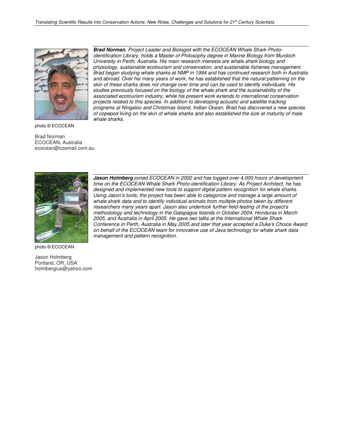

photo © ECOCEAN

Brad Norman ECOCEAN, Australia ecocean@ozemail.com.au



photo © ECOCEAN

Jason Holmberg Portland, OR, USA holmbergius@yahoo.com

*Brad Norman*, Project Leader and Biologist with the ECOCEAN Whale Shark Photoidentification Library, holds a Master of Philosophy degree in Marine Biology from Murdoch University in Perth, Australia. His main research interests are whale shark biology and physiology, sustainable ecotourism and conservation, and sustainable fisheries management. Brad began studying whale sharks at NMP in 1994 and has continued research both in Australia and abroad. Over his many years of work, he has established that the natural patterning on the skin of these sharks does not change over time and can be used to identify individuals. His studies previously focused on the biology of the whale shark and the sustainability of the associated ecotourism industry, while his present work extends to international conservation projects related to this species. In addition to developing acoustic and satellite tracking programs at Ningaloo and Christmas Island, Indian Ocean, Brad has discovered a new species of copepod living on the skin of whale sharks and also established the size at maturity of male whale sharks.

*Jason Holmberg* joined ECOCEAN in 2002 and has logged over 4,000 hours of development time on the ECOCEAN Whale Shark Photo-identification Library. As Project Architect, he has designed and implemented new tools to support digital pattern recognition for whale sharks. Using Jason's tools, the project has been able to categorize and manage a large amount of whale shark data and to identify individual animals from multiple photos taken by different researchers many years apart. Jason also undertook further field-testing of the project's methodology and technology in the Galapagos Islands in October 2004, Honduras in March 2005, and Australia in April 2005. He gave two talks at the International Whale Shark Conference in Perth, Australia in May 2005 and later that year accepted a Duke's Choice Award on behalf of the ECOCEAN team for innovative use of Java technology for whale shark data management and pattern recognition.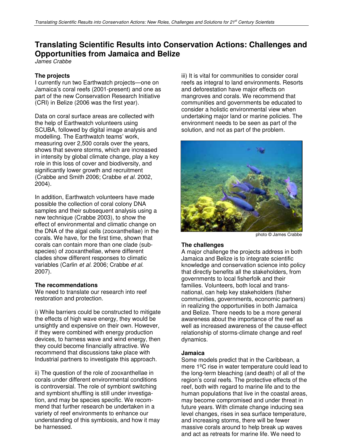# **Translating Scientific Results into Conservation Actions: Challenges and Opportunities from Jamaica and Belize**

James Crabbe

### **The projects**

I currently run two Earthwatch projects—one on Jamaica's coral reefs (2001-present) and one as part of the new Conservation Research Initiative (CRI) in Belize (2006 was the first year).

Data on coral surface areas are collected with the help of Earthwatch volunteers using SCUBA, followed by digital image analysis and modelling. The Earthwatch teams' work, measuring over 2,500 corals over the years, shows that severe storms, which are increased in intensity by global climate change, play a key role in this loss of cover and biodiversity, and significantly lower growth and recruitment (Crabbe and Smith 2006; Crabbe et al. 2002, 2004).

In addition, Earthwatch volunteers have made possible the collection of coral colony DNA samples and their subsequent analysis using a new technique (Crabbe 2003), to show the effect of environmental and climatic change on the DNA of the algal cells (zooxanthellae) in the corals. We have, for the first time, shown that corals can contain more than one clade (subspecies) of zooxanthellae, where different clades show different responses to climatic variables (Carlin et al. 2006; Crabbe et al. 2007).

### **The recommendations**

We need to translate our research into reef restoration and protection.

i) While barriers could be constructed to mitigate the effects of high wave energy, they would be unsightly and expensive on their own. However, if they were combined with energy production devices, to harness wave and wind energy, then they could become financially attractive. We recommend that discussions take place with Industrial partners to investigate this approach.

ii) The question of the role of zooxanthellae in corals under different environmental conditions is controversial. The role of symbiont switching and symbiont shuffling is still under investigation, and may be species specific. We recommend that further research be undertaken in a variety of reef environments to enhance our understanding of this symbiosis, and how it may be harnessed.

iii) It is vital for communities to consider coral reefs as integral to land environments. Resorts and deforestation have major effects on mangroves and corals. We recommend that communities and governments be educated to consider a holistic environmental view when undertaking major land or marine policies. The environment needs to be seen as part of the solution, and not as part of the problem.



photo © James Crabbe

### **The challenges**

A major challenge the projects address in both Jamaica and Belize is to integrate scientific knowledge and conservation science into policy that directly benefits all the stakeholders, from governments to local fisherfolk and their families. Volunteers, both local and transnational, can help key stakeholders (fisher communities, governments, economic partners) in realizing the opportunities in both Jamaica and Belize. There needs to be a more general awareness about the importance of the reef as well as increased awareness of the cause-effect relationship of storms-climate change and reef dynamics.

### **Jamaica**

Some models predict that in the Caribbean, a mere 1ºC rise in water temperature could lead to the long-term bleaching (and death) of all of the region's coral reefs. The protective effects of the reef, both with regard to marine life and to the human populations that live in the coastal areas, may become compromised and under threat in future years. With climate change inducing sea level changes, rises in sea surface temperature, and increasing storms, there will be fewer massive corals around to help break up waves and act as retreats for marine life. We need to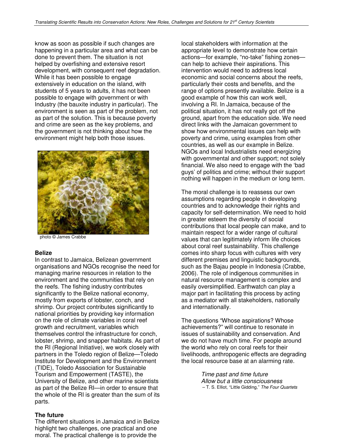know as soon as possible if such changes are happening in a particular area and what can be done to prevent them. The situation is not helped by overfishing and extensive resort development, with consequent reef degradation. While it has been possible to engage extensively in education on the island, with students of 5 years to adults, it has not been possible to engage with government or with Industry (the bauxite industry in particular). The environment is seen as part of the problem, not as part of the solution. This is because poverty and crime are seen as the key problems, and the government is not thinking about how the environment might help both those issues.



photo © James Crabbe

### **Belize**

In contrast to Jamaica, Belizean government organisations and NGOs recognise the need for managing marine resources in relation to the environment and the communities that rely on the reefs. The fishing industry contributes significantly to the Belize national economy, mostly from exports of lobster, conch, and shrimp. Our project contributes significantly to national priorities by providing key information on the role of climate variables in coral reef growth and recruitment, variables which themselves control the infrastructure for conch, lobster, shrimp, and snapper habitats. As part of the RI (Regional Initiative), we work closely with partners in the Toledo region of Belize—Toledo Institute for Development and the Environment (TIDE), Toledo Association for Sustainable Tourism and Empowerment (TASTE), the University of Belize, and other marine scientists as part of the Belize RI—in order to ensure that the whole of the RI is greater than the sum of its parts.

#### **The future**

The different situations in Jamaica and in Belize highlight two challenges, one practical and one moral. The practical challenge is to provide the

local stakeholders with information at the appropriate level to demonstrate how certain actions—for example, "no-take" fishing zones can help to achieve their aspirations. This intervention would need to address local economic and social concerns about the reefs, particularly their costs and benefits, and the range of options presently available. Belize is a good example of how this can work well, involving a RI. In Jamaica, because of the political situation, it has not really got off the ground, apart from the education side. We need direct links with the Jamaican government to show how environmental issues can help with poverty and crime, using examples from other countries, as well as our example in Belize. NGOs and local Industrialists need energizing with governmental and other support; not solely financial. We also need to engage with the 'bad guys' of politics and crime; without their support nothing will happen in the medium or long term.

The moral challenge is to reassess our own assumptions regarding people in developing countries and to acknowledge their rights and capacity for self-determination. We need to hold in greater esteem the diversity of social contributions that local people can make, and to maintain respect for a wider range of cultural values that can legitimately inform life choices about coral reef sustainability. This challenge comes into sharp focus with cultures with very different premises and linguistic backgrounds, such as the Bajau people in Indonesia (Crabbe, 2006). The role of indigenous communities in natural resource management is complex and easily oversimplified. Earthwatch can play a major part in facilitating this process by acting as a mediator with all stakeholders, nationally and internationally.

The questions "Whose aspirations? Whose achievements?" will continue to resonate in issues of sustainability and conservation. And we do not have much time. For people around the world who rely on coral reefs for their livelihoods, anthropogenic effects are degrading the local resource base at an alarming rate.

> Time past and time future Allow but a little consciousness – T. S. Elliot, "Little Gidding," The Four Quartets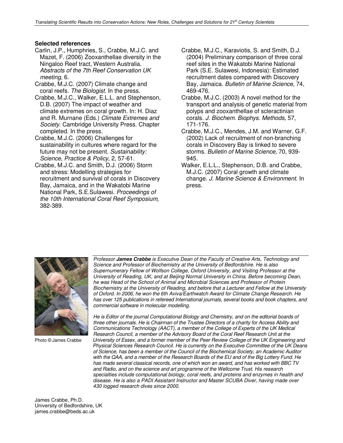### **Selected references**

- Carlin, J.P., Humphries, S., Crabbe, M.J.C. and Mazet, F. (2006) Zooxanthellae diversity in the Ningaloo Reef tract, Western Australia. Abstracts of the 7th Reef Conservation UK meeting, 6.
- Crabbe, M.J.C. (2007) Climate change and coral reefs. The Biologist. In the press.
- Crabbe, M.J.C., Walker, E.L.L. and Stephenson, D.B. (2007) The impact of weather and climate extremes on coral growth. In: H. Diaz and R. Murnane (Eds.) Climate Extremes and Society. Cambridge University Press. Chapter completed. In the press.
- Crabbe, M.J.C. (2006) Challenges for sustainability in cultures where regard for the future may not be present. Sustainability: Science, Practice & Policy, 2, 57-61.
- Crabbe, M.J.C. and Smith, D.J. (2006) Storm and stress: Modelling strategies for recruitment and survival of corals in Discovery Bay, Jamaica, and in the Wakatobi Marine National Park, S.E.Sulawesi. Proceedings of the 10th International Coral Reef Symposium, 382-389.
- Crabbe, M.J.C., Karaviotis, S. and Smith, D.J. (2004) Preliminary comparison of three coral reef sites in the Wakatobi Marine National Park (S.E. Sulawesi, Indonesia): Estimated recruitment dates compared with Discovery Bay, Jamaica. Bulletin of Marine Science, 74, 469-476.
- Crabbe, M.J.C. (2003) A novel method for the transport and analysis of genetic material from polyps and zooxanthellae of scleractinian corals. J. Biochem. Biophys. Methods, 57, 171-176.
- Crabbe, M.J.C., Mendes, J.M. and Warner, G.F. (2002) Lack of recruitment of non-branching corals in Discovery Bay is linked to severe storms. Bulletin of Marine Science, 70, 939- 945.
- Walker, E.L.L., Stephenson, D.B. and Crabbe, M.J.C. (2007) Coral growth and climate change. J. Marine Science & Environment. In press.



Photo © James Crabbe

Professor *James Crabbe* is Executive Dean of the Faculty of Creative Arts, Technology and Science and Professor of Biochemistry at the University of Bedfordshire. He is also Supernumerary Fellow of Wolfson College, Oxford University, and Visiting Professor at the University of Reading, UK, and at Beijing Normal University in China. Before becoming Dean, he was Head of the School of Animal and Microbial Sciences and Professor of Protein Biochemistry at the University of Reading, and before that a Lecturer and Fellow at the University of Oxford. In 2006, he won the 6th Aviva/Earthwatch Award for Climate Change Research. He has over 125 publications in refereed International journals, several books and book chapters, and commercial software in molecular modelling.

He is Editor of the journal Computational Biology and Chemistry, and on the editorial boards of three other journals. He is Chairman of the Trustee Directors of a charity for Access Ability and Communications Technology (AACT), a member of the College of Experts of the UK Medical Research Council, a member of the Advisory Board of the Coral Reef Research Unit at the University of Essex, and a former member of the Peer Review College of the UK Engineering and Physical Sciences Research Council. He is currently on the Executive Committee of the UK Deans of Science, has been a member of the Council of the Biochemical Society, an Academic Auditor with the QAA, and a member of the Research Boards of the EU and of the Big Lottery Fund. He has made several classical records, one of which won an award, and has worked with BBC TV and Radio, and on the science and art programme of the Wellcome Trust. His research specialties include computational biology, coral reefs, and proteins and enzymes in health and disease. He is also a PADI Assistant Instructor and Master SCUBA Diver, having made over 430 logged research dives since 2000.

James Crabbe, Ph.D. University of Bedfordshire, UK james.crabbe@beds.ac.uk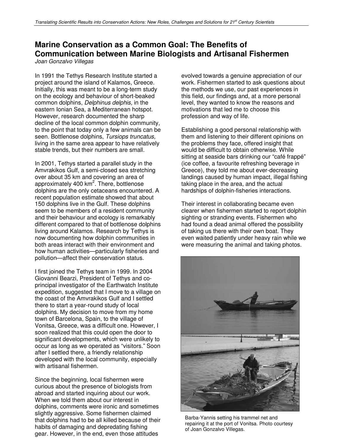# **Marine Conservation as a Common Goal: The Benefits of Communication between Marine Biologists and Artisanal Fishermen**

Joan Gonzalvo Villegas

In 1991 the Tethys Research Institute started a project around the island of Kalamos, Greece. Initially, this was meant to be a long-term study on the ecology and behaviour of short-beaked common dolphins, Delphinus delphis, in the eastern Ionian Sea, a Mediterranean hotspot. However, research documented the sharp decline of the local common dolphin community, to the point that today only a few animals can be seen. Bottlenose dolphins, Tursiops truncatus, living in the same area appear to have relatively stable trends, but their numbers are small.

In 2001, Tethys started a parallel study in the Amvrakikos Gulf, a semi-closed sea stretching over about 35 km and covering an area of approximately 400 km<sup>2</sup>. There, bottlenose dolphins are the only cetaceans encountered. A recent population estimate showed that about 150 dolphins live in the Gulf. These dolphins seem to be members of a resident community and their behaviour and ecology is remarkably different compared to that of bottlenose dolphins living around Kalamos. Research by Tethys is now documenting how dolphin communities in both areas interact with their environment and how human activities—particularly fisheries and pollution—affect their conservation status.

I first joined the Tethys team in 1999. In 2004 Giovanni Bearzi, President of Tethys and coprincipal investigator of the Earthwatch Institute expedition, suggested that I move to a village on the coast of the Amvrakikos Gulf and I settled there to start a year-round study of local dolphins. My decision to move from my home town of Barcelona, Spain, to the village of Vonitsa, Greece, was a difficult one. However, I soon realized that this could open the door to significant developments, which were unlikely to occur as long as we operated as "visitors." Soon after I settled there, a friendly relationship developed with the local community, especially with artisanal fishermen.

Since the beginning, local fishermen were curious about the presence of biologists from abroad and started inquiring about our work. When we told them about our interest in dolphins, comments were ironic and sometimes slightly aggressive. Some fishermen claimed that dolphins had to be all killed because of their habits of damaging and depredating fishing gear. However, in the end, even those attitudes

evolved towards a genuine appreciation of our work. Fishermen started to ask questions about the methods we use, our past experiences in this field, our findings and, at a more personal level, they wanted to know the reasons and motivations that led me to choose this profession and way of life.

Establishing a good personal relationship with them and listening to their different opinions on the problems they face, offered insight that would be difficult to obtain otherwise. While sitting at seaside bars drinking our "café frappé" (ice coffee, a favourite refreshing beverage in Greece), they told me about ever-decreasing landings caused by human impact, illegal fishing taking place in the area, and the actual hardships of dolphin-fisheries interactions.

Their interest in collaborating became even clearer when fishermen started to report dolphin sighting or stranding events. Fishermen who had found a dead animal offered the possibility of taking us there with their own boat. They even waited patiently under heavy rain while we were measuring the animal and taking photos.



Barba-Yannis setting his trammel net and repairing it at the port of Vonitsa. Photo courtesy of Joan Gonzalvo Villegas.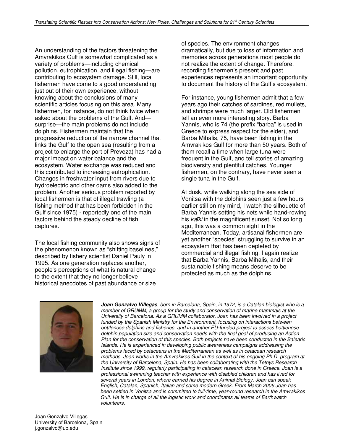An understanding of the factors threatening the Amvrakikos Gulf is somewhat complicated as a variety of problems—including chemical pollution, eutrophication, and illegal fishing—are contributing to ecosystem damage. Still, local fishermen have come to a good understanding just out of their own experience, without knowing about the conclusions of many scientific articles focusing on this area. Many fishermen, for instance, do not think twice when asked about the problems of the Gulf. And surprise—the main problems do not include dolphins. Fishermen maintain that the progressive reduction of the narrow channel that links the Gulf to the open sea (resulting from a project to enlarge the port of Preveza) has had a major impact on water balance and the ecosystem. Water exchange was reduced and this contributed to increasing eutrophication. Changes in freshwater input from rivers due to hydroelectric and other dams also added to the problem. Another serious problem reported by local fishermen is that of illegal trawling (a fishing method that has been forbidden in the Gulf since 1975) - reportedly one of the main factors behind the steady decline of fish captures.

The local fishing community also shows signs of the phenomenon known as "shifting baselines," described by fishery scientist Daniel Pauly in 1995. As one generation replaces another, people's perceptions of what is natural change to the extent that they no longer believe historical anecdotes of past abundance or size

of species. The environment changes dramatically, but due to loss of information and memories across generations most people do not realize the extent of change. Therefore, recording fishermen's present and past experiences represents an important opportunity to document the history of the Gulf's ecosystem.

For instance, young fishermen admit that a few years ago their catches of sardines, red mullets, and shrimps were much larger. Old fishermen tell an even more interesting story. Barba Yannis, who is 74 (the prefix "barba" is used in Greece to express respect for the elder), and Barba Mihalis, 75, have been fishing in the Amvrakikos Gulf for more than 50 years. Both of them recall a time when large tuna were frequent in the Gulf, and tell stories of amazing biodiversity and plentiful catches. Younger fishermen, on the contrary, have never seen a single tuna in the Gulf.

At dusk, while walking along the sea side of Vonitsa with the dolphins seen just a few hours earlier still on my mind, I watch the silhouette of Barba Yannis setting his nets while hand-rowing his kaiki in the magnificent sunset. Not so long ago, this was a common sight in the Mediterranean. Today, artisanal fishermen are yet another "species" struggling to survive in an ecosystem that has been depleted by commercial and illegal fishing. I again realize that Barba Yannis, Barba Mihalis, and their sustainable fishing means deserve to be protected as much as the dolphins.



 *Joan Gonzalvo Villegas*, born in Barcelona, Spain, in 1972, is a Catalan biologist who is a member of GRUMM, a group for the study and conservation of marine mammals at the University of Barcelona. As a GRUMM collaborator, Joan has been involved in a project funded by the Spanish Ministry for the Environment, focusing on interactions between bottlenose dolphins and fisheries, and in another EU-funded project to assess bottlenose dolphin population size and conservation needs with the final goal of producing an Action Plan for the conservation of this species. Both projects have been conducted in the Balearic Islands. He is experienced in developing public awareness campaigns addressing the problems faced by cetaceans in the Mediterranean as well as in cetacean research methods. Joan works in the Amvrakikos Gulf in the context of his ongoing Ph.D. program at the University of Barcelona, Spain. He has been collaborating with the Tethys Research Institute since 1999, regularly participating in cetacean research done in Greece. Joan is a professional swimming teacher with experience with disabled children and has lived for several years in London, where earned his degree in Animal Biology. Joan can speak English, Catalan, Spanish, Italian and some modern Greek. From March 2006 Joan has been settled in Vonitsa and is committed to full-time, year-round research in the Amvrakikos Gulf. He is in charge of all the logistic work and coordinates all teams of Earthwatch volunteers.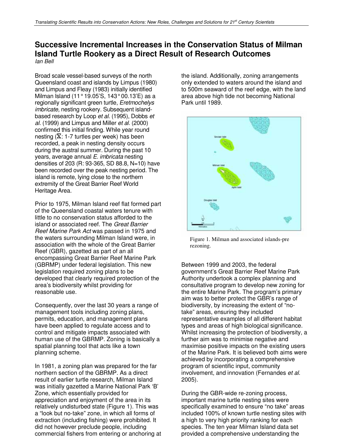### **Successive Incremental Increases in the Conservation Status of Milman Island Turtle Rookery as a Direct Result of Research Outcomes**  Ian Bell

Broad scale vessel-based surveys of the north Queensland coast and islands by Limpus (1980) and Limpus and Fleay (1983) initially identified Milman Island (11° 19.05'S, 143° 00.13'E) as a regionally significant green turtle, Eretmochelys imbricate, nesting rookery. Subsequent islandbased research by Loop et al. (1995), Dobbs et al. (1999) and Limpus and Miller et al. (2000) confirmed this initial finding. While year round nesting ( $\overline{X}$ : 1-7 turtles per week) has been recorded, a peak in nesting density occurs during the austral summer. During the past 10 years, average annual E. imbricata nesting densities of 203 (R: 93-365, SD 88.8, N=10) have been recorded over the peak nesting period. The island is remote, lying close to the northern extremity of the Great Barrier Reef World Heritage Area.

Prior to 1975, Milman Island reef flat formed part of the Queensland coastal waters tenure with little to no conservation status afforded to the island or associated reef. The Great Barrier Reef Marine Park Act was passed in 1975 and the waters surrounding Milman Island were, in association with the whole of the Great Barrier Reef (GBR), gazetted as part of an all encompassing Great Barrier Reef Marine Park (GBRMP) under federal legislation. This new legislation required zoning plans to be developed that clearly required protection of the area's biodiversity whilst providing for reasonable use.

Consequently, over the last 30 years a range of management tools including zoning plans, permits, education, and management plans have been applied to regulate access and to control and mitigate impacts associated with human use of the GBRMP. Zoning is basically a spatial planning tool that acts like a town planning scheme.

In 1981, a zoning plan was prepared for the far northern section of the GBRMP. As a direct result of earlier turtle research, Milman Island was initially gazetted a Marine National Park 'B' Zone, which essentially provided for appreciation and enjoyment of the area in its relatively undisturbed state (Figure 1). This was a "look but no-take" zone, in which all forms of extraction (including fishing) were prohibited. It did not however preclude people, including commercial fishers from entering or anchoring at

the island. Additionally, zoning arrangements only extended to waters around the island and to 500m seaward of the reef edge, with the land area above high tide not becoming National Park until 1989.



Figure 1. Milman and associated islands-pre rezoning.

Between 1999 and 2003, the federal government's Great Barrier Reef Marine Park Authority undertook a complex planning and consultative program to develop new zoning for the entire Marine Park. The program's primary aim was to better protect the GBR's range of biodiversity, by increasing the extent of "notake" areas, ensuring they included representative examples of all different habitat types and areas of high biological significance. Whilst increasing the protection of biodiversity, a further aim was to minimise negative and maximise positive impacts on the existing users of the Marine Park. It is believed both aims were achieved by incorporating a comprehensive program of scientific input, community involvement, and innovation (Fernandes et al. 2005).

During the GBR-wide re-zoning process, important marine turtle nesting sites were specifically examined to ensure "no take" areas included 100% of known turtle nesting sites with a high to very high priority ranking for each species. The ten year Milman Island data set provided a comprehensive understanding the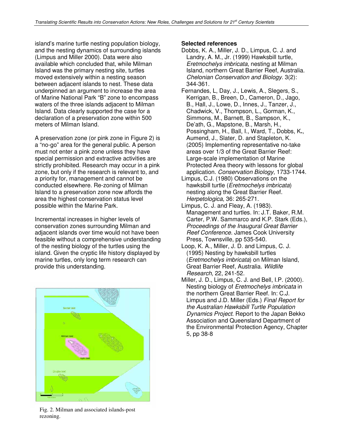island's marine turtle nesting population biology, and the nesting dynamics of surrounding islands (Limpus and Miller 2000). Data were also available which concluded that, while Milman Island was the primary nesting site, turtles moved extensively within a nesting season between adjacent islands to nest. These data underpinned an argument to increase the area of Marine National Park "B" zone to encompass waters of the three islands adjacent to Milman Island. Data clearly supported the case for a declaration of a preservation zone within 500 meters of Milman Island.

A preservation zone (or pink zone in Figure 2) is a "no-go" area for the general public. A person must not enter a pink zone unless they have special permission and extractive activities are strictly prohibited. Research may occur in a pink zone, but only if the research is relevant to, and a priority for, management and cannot be conducted elsewhere. Re-zoning of Milman Island to a preservation zone now affords the area the highest conservation status level possible within the Marine Park.

Incremental increases in higher levels of conservation zones surrounding Milman and adjacent islands over time would not have been feasible without a comprehensive understanding of the nesting biology of the turtles using the island. Given the cryptic life history displayed by marine turtles, only long term research can provide this understanding.



Fig. 2. Milman and associated islands-post rezoning.

### **Selected references**

- Dobbs, K. A., Miller, J. D., Limpus, C. J. and Landry, A. M., Jr. (1999) Hawksbill turtle, Eretmochelys imbricata, nesting at Milman Island, northern Great Barrier Reef, Australia. Chelonian Conservation and Biology. 3(2): 344-361.
- Fernandes, L, Day, J., Lewis, A., Slegers, S., Kerrigan, B., Breen, D., Cameron, D., Jago, B., Hall, J., Lowe, D., Innes, J., Tanzer, J., Chadwick, V., Thompson, L., Gorman, K., Simmons, M., Barnett, B., Sampson, K., De'ath, G., Mapstone, B., Marsh, H., Possingham, H., Ball, I., Ward, T., Dobbs, K**.**, Aumend, J., Slater, D. and Stapleton, K. (2005) Implementing representative no-take areas over 1/3 of the Great Barrier Reef: Large-scale implementation of Marine Protected Area theory with lessons for global application. Conservation Biology, 1733-1744.
- Limpus, C.J. (1980) Observations on the hawksbill turtle (Eretmochelys imbricata) nesting along the Great Barrier Reef. Herpetologica, 36: 265-271.
- Limpus, C. J. and Fleay, A. (1983). Management and turtles. In: J.T. Baker, R.M. Carter, P.W. Sammarco and K.P. Stark (Eds.), Proceedings of the Inaugural Great Barrier Reef Conference. James Cook University Press, Townsville, pp 535-540.
- Loop, K. A., Miller, J. D. and Limpus, C. J. (1995) Nesting by hawksbill turtles (Eretmochelys imbricata) on Milman Island, Great Barrier Reef, Australia. Wildlife Research, 22, 241-52.
- Miller, J. D., Limpus, C. J. and Bell, I.P. (2000). Nesting biology of Eretmochelys imbricata in the northern Great Barrier Reef. In: C.J. Limpus and J.D. Miller (Eds.) Final Report for the Australian Hawksbill Turtle Population Dynamics Project. Report to the Japan Bekko Association and Queensland Department of the Environmental Protection Agency, Chapter 5, pp 38-8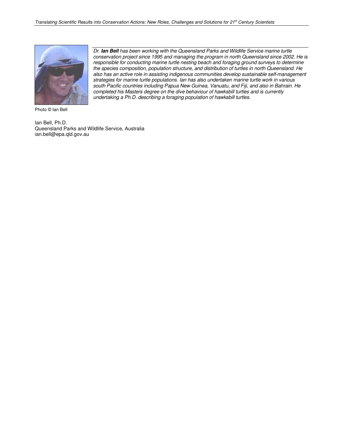

Dr. *Ian Bell* has been working with the Queensland Parks and Wildlife Service marine turtle conservation project since 1995 and managing the program in north Queensland since 2002. He is responsible for conducting marine turtle nesting beach and foraging ground surveys to determine the species composition, population structure, and distribution of turtles in north Queensland. He also has an active role in assisting indigenous communities develop sustainable self-management strategies for marine turtle populations. Ian has also undertaken marine turtle work in various south Pacific countries including Papua New Guinea, Vanuatu, and Fiji, and also in Bahrain. He completed his Masters degree on the dive behaviour of hawksbill turtles and is currently undertaking a Ph.D. describing a foraging population of hawksbill turtles.

Photo © Ian Bell

Ian Bell, Ph.D. Queensland Parks and Wildlife Service, Australia ian.bell@epa.qld.gov.au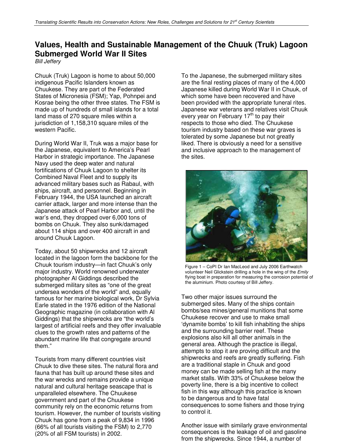# **Values, Health and Sustainable Management of the Chuuk (Truk) Lagoon Submerged World War II Sites**

Bill Jeffery

Chuuk (Truk) Lagoon is home to about 50,000 indigenous Pacific Islanders known as Chuukese. They are part of the Federated States of Micronesia (FSM); Yap, Pohnpei and Kosrae being the other three states. The FSM is made up of hundreds of small islands for a total land mass of 270 square miles within a jurisdiction of 1,158,310 square miles of the western Pacific.

During World War II, Truk was a major base for the Japanese, equivalent to America's Pearl Harbor in strategic importance. The Japanese Navy used the deep water and natural fortifications of Chuuk Lagoon to shelter its Combined Naval Fleet and to supply its advanced military bases such as Rabaul, with ships, aircraft, and personnel. Beginning in February 1944, the USA launched an aircraft carrier attack, larger and more intense than the Japanese attack of Pearl Harbor and, until the war's end, they dropped over 6,000 tons of bombs on Chuuk. They also sunk/damaged about 114 ships and over 400 aircraft in and around Chuuk Lagoon.

Today, about 50 shipwrecks and 12 aircraft located in the lagoon form the backbone for the Chuuk tourism industry—in fact Chuuk's only major industry. World renowned underwater photographer Al Giddings described the submerged military sites as "one of the great undersea wonders of the world" and, equally famous for her marine biological work, Dr Sylvia Earle stated in the 1976 edition of the National Geographic magazine (in collaboration with Al Giddings) that the shipwrecks are "the world's largest of artificial reefs and they offer invaluable clues to the growth rates and patterns of the abundant marine life that congregate around them."

Tourists from many different countries visit Chuuk to dive these sites. The natural flora and fauna that has built up around these sites and the war wrecks and remains provide a unique natural and cultural heritage seascape that is unparalleled elsewhere. The Chuukese government and part of the Chuukese community rely on the economic returns from tourism. However, the number of tourists visiting Chuuk has gone from a peak of 9,834 in 1996 (66% of all tourists visiting the FSM) to 2,770 (20% of all FSM tourists) in 2002.

To the Japanese, the submerged military sites are the final resting places of many of the 4,000 Japanese killed during World War II in Chuuk, of which some have been recovered and have been provided with the appropriate funeral rites. Japanese war veterans and relatives visit Chuuk every year on February 17<sup>th</sup> to pay their respects to those who died. The Chuukese tourism industry based on these war graves is tolerated by some Japanese but not greatly liked. There is obviously a need for a sensitive and inclusive approach to the management of the sites.



Figure 1 – CoPI Dr Ian MacLeod and July 2006 Earthwatch volunteer Neil Glickstein drilling a hole in the wing of the Emily flying boat in preparation for measuring the corrosion potential of the aluminium. Photo courtesy of Bill Jeffery.

Two other major issues surround the submerged sites. Many of the ships contain bombs/sea mines/general munitions that some Chuukese recover and use to make small 'dynamite bombs' to kill fish inhabiting the ships and the surrounding barrier reef. These explosions also kill all other animals in the general area. Although the practice is illegal, attempts to stop it are proving difficult and the shipwrecks and reefs are greatly suffering. Fish are a traditional staple in Chuuk and good money can be made selling fish at the many market stalls. With 33% of Chuukese below the poverty line, there is a big incentive to collect fish in this way although this practice is known to be dangerous and to have fatal consequences to some fishers and those trying to control it.

Another issue with similarly grave environmental consequences is the leakage of oil and gasoline from the shipwrecks. Since 1944, a number of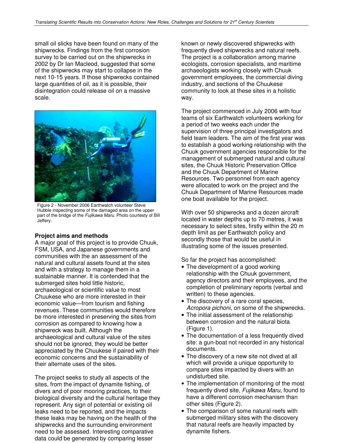small oil slicks have been found on many of the shipwrecks. Findings from the first corrosion survey to be carried out on the shipwrecks in 2002 by Dr Ian Macleod, suggested that some of the shipwrecks may start to collapse in the next 10-15 years. If those shipwrecks contained large quantities of oil, as it is possible, their disintegration could release oil on a massive scale.



Figure 2 - November 2006 Earthwatch volunteer Steve Hubble inspecting some of the damaged area on the upper part of the bridge of the Fujikawa Maru. Photo courtesty of Bill Jeffery.

### **Project aims and methods**

A major goal of this project is to provide Chuuk, FSM, USA, and Japanese governments and communities with the an assessment of the natural and cultural assets found at the sites and with a strategy to manage them in a sustainable manner. It is contended that the submerged sites hold little historic, archaeological or scientific value to most Chuukese who are more interested in their economic value—from tourism and fishing revenues. These communities would therefore be more interested in preserving the sites from corrosion as compared to knowing how a shipwreck was built. Although the archaeological and cultural value of the sites should not be ignored, they would be better appreciated by the Chuukese if paired with their economic concerns and the sustainability of their alternate uses of the sites.

The project seeks to study all aspects of the sites, from the impact of dynamite fishing, of divers and of poor mooring practices, to their biological diversity and the cultural heritage they represent. Any sign of potential or existing oil leaks need to be reported, and the impacts these leaks may be having on the health of the shipwrecks and the surrounding environment need to be assessed. Interesting comparative data could be generated by comparing lesser

known or newly discovered shipwrecks with frequently dived shipwrecks and natural reefs. The project is a collaboration among marine ecologists, corrosion specialists, and maritime archaeologists working closely with Chuuk government employees, the commercial diving industry, and sections of the Chuukese community to look at these sites in a holistic way.

The project commenced in July 2006 with four teams of six Earthwatch volunteers working for a period of two weeks each under the supervision of three principal investigators and field team leaders. The aim of the first year was to establish a good working relationship with the Chuuk government agencies responsible for the management of submerged natural and cultural sites, the Chuuk Historic Preservation Office and the Chuuk Department of Marine Resources. Two personnel from each agency were allocated to work on the project and the Chuuk Department of Marine Resources made one boat available for the project.

With over 50 shipwrecks and a dozen aircraft located in water depths up to 70 metres, it was necessary to select sites, firstly within the 20 m depth limit as per Earthwatch policy and secondly those that would be useful in illustrating some of the issues presented.

So far the project has accomplished:

- The development of a good working relationship with the Chuuk government, agency directors and their employees, and the completion of preliminary reports (verbal and written) to these agencies.
- The discovery of a rare coral species, Acropora pichoni, on some of the shipwrecks.
- The initial assessment of the relationship between corrosion and the natural biota (Figure 1).
- The documentation of a less frequently dived site: a gun-boat not recorded in any historical documents.
- The discovery of a new site not dived at all which will provide a unique opportunity to compare sites impacted by divers with an undisturbed site.
- The implementation of monitoring of the most frequently dived site, Fujikawa Maru, found to have a different corrosion mechanism than other sites (Figure 2).
- The comparison of some natural reefs with submerged military sites with the discovery that natural reefs are heavily impacted by dynamite fishers.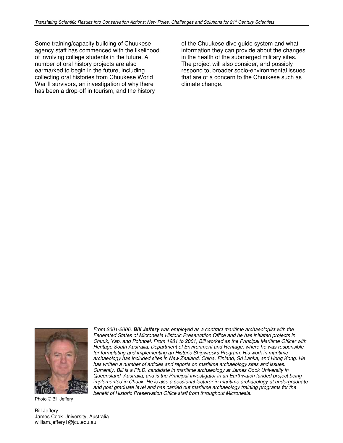Some training/capacity building of Chuukese agency staff has commenced with the likelihood of involving college students in the future. A number of oral history projects are also earmarked to begin in the future, including collecting oral histories from Chuukese World War II survivors, an investigation of why there has been a drop-off in tourism, and the history

of the Chuukese dive guide system and what information they can provide about the changes in the health of the submerged military sites. The project will also consider, and possibly respond to, broader socio-environmental issues that are of a concern to the Chuukese such as climate change.



Photo © Bill Jeffery

Bill Jeffery James Cook University, Australia william.jeffery1@jcu.edu.au

From 2001-2006, *Bill Jeffery* was employed as a contract maritime archaeologist with the Federated States of Micronesia Historic Preservation Office and he has initiated projects in Chuuk, Yap, and Pohnpei. From 1981 to 2001, Bill worked as the Principal Maritime Officer with Heritage South Australia, Department of Environment and Heritage, where he was responsible for formulating and implementing an Historic Shipwrecks Program. His work in maritime archaeology has included sites in New Zealand, China, Finland, Sri Lanka, and Hong Kong. He has written a number of articles and reports on maritime archaeology sites and issues. Currently, Bill is a Ph.D. candidate in maritime archaeology at James Cook University in Queensland, Australia, and is the Principal Investigator in an Earthwatch funded project being implemented in Chuuk. He is also a sessional lecturer in maritime archaeology at undergraduate and post graduate level and has carried out maritime archaeology training programs for the benefit of Historic Preservation Office staff from throughout Micronesia.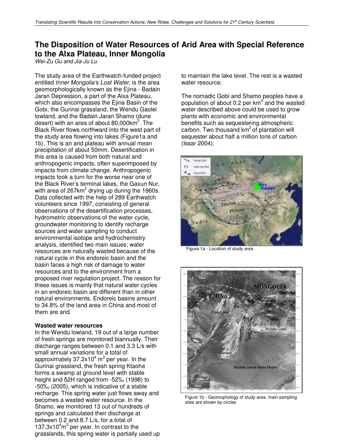# **The Disposition of Water Resources of Arid Area with Special Reference to the Alxa Plateau, Inner Mongolia**

Wei-Zu Gu and Jia-Ju Lu

The study area of the Earthwatch-funded project entitled Inner Mongolia's Lost Water, is the area geomorphologically known as the Ejina - Badain Jaran Depression, a part of the Alxa Plateau, which also encompasses the Ejina Basin of the Gobi, the Gurinai grassland, the Wendu Gaolei lowland, and the Badain Jaran Shamo (dune desert) with an area of about 80,000km<sup>2</sup>. The Black River flows northward into the west part of the study area flowing into lakes (Figure1a and 1b). This is an arid plateau with annual mean precipitation of about 50mm. Desertification in this area is caused from both natural and anthropogenic impacts, often superimposed by impacts from climate change. Anthropogenic impacts took a turn for the worse near one of the Black River's terminal lakes, the Gaxun Nur, with area of 267km<sup>2</sup> drying up during the 1960s. Data collected with the help of 289 Earthwatch volunteers since 1997, consisting of general observations of the desertification processes, hydrometric observations of the water cycle, groundwater monitoring to identify recharge sources and water sampling to conduct environmental isotope and hydrochemistry analysis, identified two main issues; water resources are naturally wasted because of the natural cycle in this endoreic basin and the basin faces a high risk of damage to water resources and to the environment from a proposed river regulation project. The reason for these issues is mainly that natural water cycles in an endoreic basin are different than in other natural environments. Endoreic basins amount to 34.8% of the land area in China and most of them are arid.

### **Wasted water resources**

In the Wendu lowland, 19 out of a large number of fresh springs are monitored biannually. Their discharge ranges between 0.1 and 3.3 L/s with small annual variations for a total of approximately 37.2x10 $^4$  m $^3$  per year. In the Gurinai grassland, the fresh spring Ktaohe forms a swamp at ground level with stable height and δ2H ranged from -52‰ (1998) to -50‰ (2005), which is indicative of a stable recharge. This spring water just flows away and becomes a wasted water resource. In the Shamo, we monitored 13 out of hundreds of springs and calculated their discharge at between 0.2 and 8.7 L/s, for a total of 137.3 $x10<sup>4</sup>m<sup>3</sup>$  per year. In contrast to the grasslands, this spring water is partially used up

to maintain the lake level. The rest is a wasted water resource.

The nomadic Gobi and Shamo peoples have a population of about 0.2 per  $km^2$  and the wasted water described above could be used to grow plants with economic and environmental benefits such as sequestering atmospheric carbon. Two thousand  $km^2$  of plantation will sequester about half a million tons of carbon (Issar 2004).



Figure.1a - Location of study area



Figure 1b - Geomophology of study area, main sampling sites are shown by circles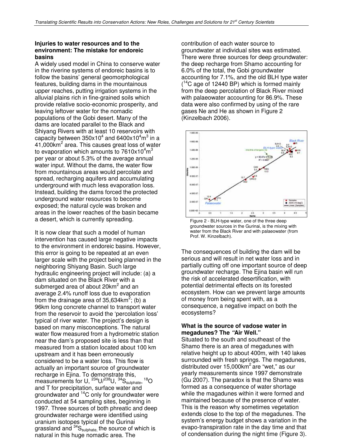### **Injuries to water resources and to the environment: The mistake for endoreic basins**

A widely used model in China to conserve water in the riverine systems of endoreic basins is to follow the basins' general geomorphological features, building dams in the mountainous upper reaches, putting irrigation systems in the alluvial plains rich in fine-grained soils which provide relative socio-economic prosperity, and leaving leftover water for the nomadic populations of the Gobi desert. Many of the dams are located parallel to the Black and Shiyang Rivers with at least 10 reservoirs with capacity between  $350x10^4$  and  $6400x10^4$ m $^3$  in a 41,000km<sup>2</sup> area. This causes great loss of water to evaporation which amounts to 7610x10 $\rm ^4m^3$ per year or about 5.3% of the average annual water input. Without the dams, the water flow from mountainous areas would percolate and spread, recharging aquifers and accumulating underground with much less evaporation loss. Instead, building the dams forced the protected underground water resources to become exposed; the natural cycle was broken and areas in the lower reaches of the basin became a desert, which is currently spreading.

It is now clear that such a model of human intervention has caused large negative impacts to the environment in endoreic basins. However, this error is going to be repeated at an even larger scale with the project being planned in the neighboring Shiyang Basin. Such large hydraulic engineering project will include: (a) a dam situated on the Black River with a submerged area of about 20 $km^2$  and an average 2.4% runoff loss due to evaporation from the drainage area of 35,634 $km^2$ ; (b) a 96km long concrete channel to transport water from the reservoir to avoid the 'percolation loss' typical of river water. The project's design is based on many misconceptions. The natural water flow measured from a hydrometric station near the dam's proposed site is less than that measured from a station located about 100 km upstream and it has been erroneously considered to be a water loss. This flow is actually an important source of groundwater recharge in Ejina. To demonstrate this, measurements for U,  $^{234}$ U/ $^{238}$ U,  $^{34}$ S<sub>sulphate</sub>,  $^{18}$ O and T for precipitation, surface water and groundwater and <sup>14</sup>C only for groundwater were conducted at 54 sampling sites, beginning in 1997. Three sources of both phreatic and deep groundwater recharge were identified using uranium isotopes typical of the Gurinai grassland and  $34S_{\text{supphate}}$ , the source of which is natural in this huge nomadic area. The

contribution of each water source to groundwater at individual sites was estimated. There were three sources for deep groundwater: the deep recharge from Shamo accounting for 6.0% of the total, the Gobi groundwater accounting for 7.1%, and the old BLH type water (<sup>14</sup>C age of 12440 BP) which is formed mainly from the deep percolation of Black River mixed with palaeowater accounting for 86.9%. These data were also confirmed by using of the rare gases Ne and He as shown in Figure 2 (Kinzelbach 2006).



Figure 2 - BLH-type water, one of the three deep groundwater sources in the Gurinai, is the mixing with water from the Black River and with palaeowater (from Prof. W. Kinzelbach).

The consequences of building the dam will be serious and will result in net water loss and in partially cutting off one important source of deep groundwater recharge. The Ejina basin will run the risk of accelerated desertification, with potential detrimental effects on its forested ecosystem. How can we prevent large amounts of money from being spent with, as a consequence, a negative impact on both the ecosystems?

### **What is the source of vadose water in megadunes? The** *"***Air Well."**

Situated to the south and southeast of the Shamo there is an area of megadunes with relative height up to about 400m, with 140 lakes surrounded with fresh springs. The megadunes, distributed over 15,000km<sup>2</sup> are "wet," as our yearly measurements since 1997 demonstrate (Gu 2007). The paradox is that the Shamo was formed as a consequence of water shortage while the magadunes within it were formed and maintained because of the presence of water. This is the reason why sometimes vegetation extends close to the top of the megadunes. The system's energy budget shows a variation in the evapo-transpiration rate in the day time and that of condensation during the night time (Figure 3).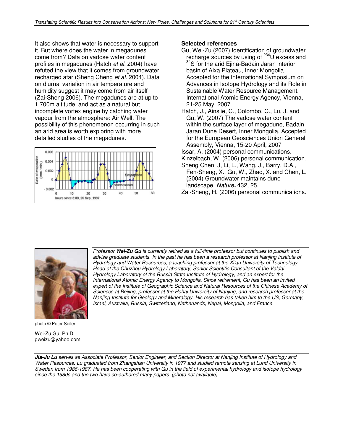It also shows that water is necessary to support it. But where does the water in megadunes come from? Data on vadose water content profiles in megadunes (Hatch et al. 2004) have refuted the view that it comes from groundwater recharged afar (Sheng Cheng et al. 2004). Data on diurnal variation in air temperature and humidity suggest it may come from air itself (Zai-Sheng 2006). The megadunes are at up to 1,700m altitude, and act as a natural but incomplete vortex engine by catching water vapour from the atmosphere: Air Well. The possibility of this phenomenon occurring in such an arid area is worth exploring with more detailed studies of the megadunes.



### **Selected references**

- Gu, Wei-Zu (2007) Identification of groundwater recharge sources by using of  $^{234}$ U excess and <sup>34</sup>S for the arid Ejina-Badain Jaran interior basin of Alxa Plateau, Inner Mongolia. Accepted for the International Symposium on Advances in Isotope Hydrology and its Role in Sustainable Water Resource Management. International Atomic Energy Agency, Vienna, 21-25 May, 2007.
- Hatch, J., Ainslie, C., Colombo, C., Lu, J. and Gu, W. (2007) The vadose water content within the surface layer of megadune, Badain Jaran Dune Desert, Inner Mongolia. Accepted for the European Geosciences Union General Assembly, Vienna, 15-20 April, 2007
- Issar, A. (2004) personal communications.
- Kinzelbach, W. (2006) personal communication.
- Sheng Chen, J, Li, L., Wang, J., Barry, D.A., Fen-Sheng, X., Gu, W., Zhao, X. and Chen, L. (2004) Groundwater maintains dune landscape. Nature*,* 432, 25.
- Zai-Sheng, H. (2006) personal communications.



photo © Peter Seiler

Wei-Zu Gu, Ph.D. gweizu@yahoo.com Professor *Wei-Zu Gu* is currently retired as a full-time professor but continues to publish and advise graduate students. In the past he has been a research professor at Nanjing Institute of Hydrology and Water Resources, a teaching professor at the Xi'an University of Technology, Head of the Chuzhou Hydrology Laboratory, Senior Scientific Consultant of the Valdai Hydrology Laboratory of the Russia State Institute of Hydrology, and an expert for the International Atomic Energy Agency to Mongolia. Since retirement, Gu has been an invited expert of the Institute of Geographic Science and Natural Resources of the Chinese Academy of Sciences at Beijing, professor at the Hohai University of Nanjing, and research professor at the Nanjing Institute for Geology and Mineralogy. His research has taken him to the US, Germany, Israel, Australia, Russia, Switzerland, Netherlands, Nepal, Mongolia, and France.

*Jia-Ju Lu* serves as Associate Professor, Senior Engineer, and Section Director at Nanjing Institute of Hydrology and Water Resources. Lu graduated from Zhangshan University in 1977 and studied remote sensing at Lund University in Sweden from 1986-1987. He has been cooperating with Gu in the field of experimental hydrology and isotope hydrology since the 1980s and the two have co-authored many papers. (photo not available)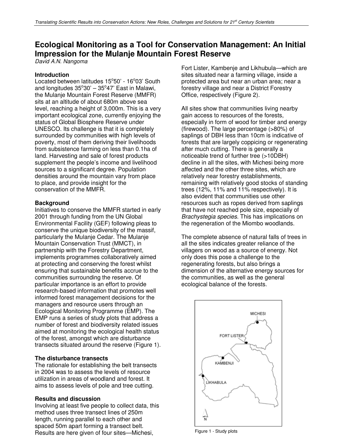## **Ecological Monitoring as a Tool for Conservation Management: An Initial Impression for the Mulanje Mountain Forest Reserve**

David A.N. Nangoma

### **Introduction**

Located between latitudes 15°50' - 16°03' South and longitudes  $35^{\circ}30' - 35^{\circ}47'$  East in Malawi, the Mulanje Mountain Forest Reserve (MMFR) sits at an altitude of about 680m above sea level, reaching a height of 3,000m. This is a very important ecological zone, currently enjoying the status of Global Biosphere Reserve under UNESCO. Its challenge is that it is completely surrounded by communities with high levels of poverty, most of them deriving their livelihoods from subsistence farming on less than 0.1ha of land. Harvesting and sale of forest products supplement the people's income and livelihood sources to a significant degree. Population densities around the mountain vary from place to place, and provide insight for the conservation of the MMFR.

### **Background**

Initiatives to conserve the MMFR started in early 2001 through funding from the UN Global Environmental Facility (GEF) following pleas to conserve the unique biodiversity of the massif, particularly the Mulanje Cedar. The Mulanje Mountain Conservation Trust (MMCT), in partnership with the Forestry Department, implements programmes collaboratively aimed at protecting and conserving the forest whilst ensuring that sustainable benefits accrue to the communities surrounding the reserve. Of particular importance is an effort to provide research-based information that promotes well informed forest management decisions for the managers and resource users through an Ecological Monitoring Programme (EMP). The EMP runs a series of study plots that address a number of forest and biodiversity related issues aimed at monitoring the ecological health status of the forest, amongst which are disturbance transects situated around the reserve (Figure 1).

### **The disturbance transects**

The rationale for establishing the belt transects in 2004 was to assess the levels of resource utilization in areas of woodland and forest. It aims to assess levels of pole and tree cutting.

### **Results and discussion**

Involving at least five people to collect data, this method uses three transect lines of 250m length, running parallel to each other and spaced 50m apart forming a transect belt. Results are here given of four sites—Michesi,

Fort Lister, Kambenje and Likhubula—which are sites situated near a farming village, inside a protected area but near an urban area; near a forestry village and near a District Forestry Office, respectively (Figure 2).

All sites show that communities living nearby gain access to resources of the forests, especially in form of wood for timber and energy (firewood). The large percentage (>80%) of saplings of DBH less than 10cm is indicative of forests that are largely coppicing or regenerating after much cutting. There is generally a noticeable trend of further tree (>10DBH) decline in all the sites, with Michesi being more affected and the other three sites, which are relatively near forestry establishments, remaining with relatively good stocks of standing trees (12%, 11% and 11% respectively). It is also evident that communities use other resources such as ropes derived from saplings that have not reached pole size, especially of Brachystegia species. This has implications on the regeneration of the Miombo woodlands.

The complete absence of natural falls of trees in all the sites indicates greater reliance of the villagers on wood as a source of energy. Not only does this pose a challenge to the regenerating forests, but also brings a dimension of the alternative energy sources for the communities, as well as the general ecological balance of the forests.



Figure 1 - Study plots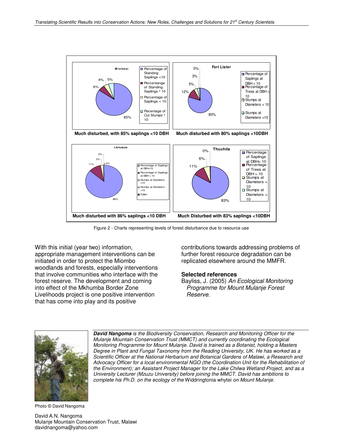

Figure 2 - Charts representing levels of forest disturbance due to resource use

With this initial (year two) information, appropriate management interventions can be initiated in order to protect the Miombo woodlands and forests, especially interventions that involve communities who interface with the forest reserve. The development and coming into effect of the Mkhumba Border Zone Livelihoods project is one positive intervention that has come into play and its positive

contributions towards addressing problems of further forest resource degradation can be replicated elsewhere around the MMFR.

#### **Selected references**

Bayliss, J. (2005) An Ecological Monitoring Programme for Mount Mulanje Forest Reserve.



*David Nangoma* is the Biodiversity Conservation, Research and Monitoring Officer for the Mulanje Mountain Conservation Trust (MMCT) and currently coordinating the Ecological Monitoring Programme for Mount Mulanje. David is trained as a Botanist, holding a Masters Degree in Plant and Fungal Taxonomy from the Reading University, UK. He has worked as a Scientific Officer at the National Herbarium and Botanical Gardens of Malawi, a Research and Advocacy Officer for a local environmental NGO (the Coordination Unit for the Rehabilitation of the Environment); an Assistant Project Manager for the Lake Chilwa Wetland Project, and as a University Lecturer (Mzuzu University) before joining the MMCT. David has ambitions to complete his Ph.D. on the ecology of the Widdringtonia whytei on Mount Mulanje.

Photo © David Nangoma

David A.N. Nangoma Mulanje Mountain Conservation Trust, Malawi davidnangoma@yahoo.com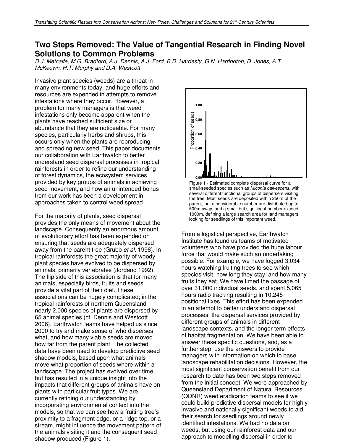### **Two Steps Removed: The Value of Tangential Research in Finding Novel Solutions to Common Problems**

D.J. Metcalfe, M.G. Bradford, A.J. Dennis, A.J. Ford, B.D. Hardesty, G.N. Harrington, D. Jones, A.T. McKeown, H.T. Murphy and D.A. Westcott

Invasive plant species (weeds) are a threat in many environments today, and huge efforts and resources are expended in attempts to remove infestations where they occur. However, a problem for many managers is that weed infestations only become apparent when the plants have reached sufficient size or abundance that they are noticeable. For many species, particularly herbs and shrubs, this occurs only when the plants are reproducing and spreading new seed. This paper documents our collaboration with Earthwatch to better understand seed dispersal processes in tropical rainforests in order to refine our understanding of forest dynamics, the ecosystem services provided by key groups of animals in achieving seed movement, and how an unintended bonus from our work has been a development in approaches taken to control weed spread.

For the majority of plants, seed dispersal provides the only means of movement about the landscape. Consequently an enormous amount of evolutionary effort has been expended on ensuring that seeds are adequately dispersed away from the parent tree (Grubb et al. 1998). In tropical rainforests the great majority of woody plant species have evolved to be dispersed by animals, primarily vertebrates (Jordano 1992). The flip side of this association is that for many animals, especially birds, fruits and seeds provide a vital part of their diet. These associations can be hugely complicated; in the tropical rainforests of northern Queensland nearly 2,000 species of plants are dispersed by 65 animal species (cf. Dennis and Westcott 2006). Earthwatch teams have helped us since 2000 to try and make sense of who disperses what, and how many viable seeds are moved how far from the parent plant. The collected data have been used to develop predictive seed shadow models, based upon what animals move what proportion of seeds where within a landscape. The project has evolved over time, but has resulted in a unique insight into the impacts that different groups of animals have on plants with particular fruit types. We are currently refining our understanding by incorporating environmental context into the models, so that we can see how a fruiting tree's proximity to a fragment edge, or a ridge top, or a stream, might influence the movement pattern of the animals visiting it and the consequent seed shadow produced (Figure 1).



**0 250 500 750 1000 1250** Figure 1 - Estimated complete dispersal curve for a small-seeded species such as Miconia calvescens, with several different functional groups of dispersers visiting the tree. Most seeds are deposited within 250m of the parent, but a considerable number are distributed up to 500m away, and a small but significant number exceed 1000m, defining a large search area for land managers looking for seedlings of this important weed.

From a logistical perspective, Earthwatch Institute has found us teams of motivated volunteers who have provided the huge labour force that would make such an undertaking possible. For example, we have logged 3,034 hours watching fruiting trees to see which species visit, how long they stay, and how many fruits they eat. We have timed the passage of over 31,000 individual seeds, and spent 5,065 hours radio tracking resulting in 10,245 positional fixes. This effort has been expended in an attempt to better understand dispersal processes, the dispersal services provided by different groups of animals in different landscape contexts, and the longer term effects of habitat fragmentation. We have been able to answer these specific questions, and, as a further step, use the answers to provide managers with information on which to base landscape rehabilitation decisions. However, the most significant conservation benefit from our research to date has been two steps removed from the initial concept. We were approached by Queensland Department of Natural Resources (QDNR) weed eradication teams to see if we could build predictive dispersal models for highly invasive and nationally significant weeds to aid their search for seedlings around newly identified infestations. We had no data on weeds, but using our rainforest data and our approach to modelling dispersal in order to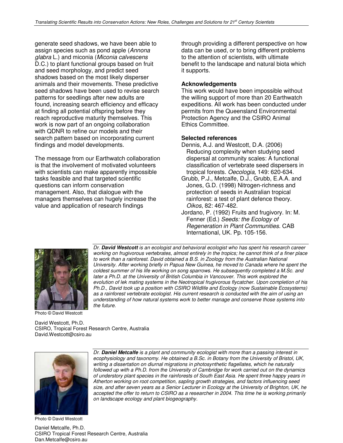generate seed shadows, we have been able to assign species such as pond apple (Annona glabra L.) and miconia (Miconia calvescens D.C.) to plant functional groups based on fruit and seed morphology, and predict seed shadows based on the most likely disperser animals and their movements. These predictive seed shadows have been used to revise search patterns for seedlings after new adults are found, increasing search efficiency and efficacy at finding all potential offspring before they reach reproductive maturity themselves. This work is now part of an ongoing collaboration with QDNR to refine our models and their search pattern based on incorporating current findings and model developments.

The message from our Earthwatch collaboration is that the involvement of motivated volunteers with scientists can make apparently impossible tasks feasible and that targeted scientific questions can inform conservation management. Also, that dialogue with the managers themselves can hugely increase the value and application of research findings

through providing a different perspective on how data can be used, or to bring different problems to the attention of scientists, with ultimate benefit to the landscape and natural biota which it supports.

### **Acknowledgements**

This work would have been impossible without the willing support of more than 20 Earthwatch expeditions. All work has been conducted under permits from the Queensland Environmental Protection Agency and the CSIRO Animal Ethics Committee.

### **Selected references**

- Dennis, A.J. and Westcott, D.A. (2006) Reducing complexity when studying seed dispersal at community scales: A functional classification of vertebrate seed dispersers in tropical forests. Oecologia, 149: 620-634.
- Grubb, P.J., Metcalfe, D.J., Grubb, E.A.A. and Jones, G.D. (1998) Nitrogen-richness and protection of seeds in Australian tropical rainforest: a test of plant defence theory. Oikos, 82: 467-482.
- Jordano, P. (1992) Fruits and frugivory. In: M. Fenner (Ed.) Seeds: the Ecology of Regeneration in Plant Communities. CAB International, UK. Pp. 105-156.



Photo © David Westcott

Dr. *David Westcott* is an ecologist and behavioral ecologist who has spent his research career working on frugivorous vertebrates, almost entirely in the tropics; he cannot think of a finer place to work than a rainforest. David obtained a B.S. in Zoology from the Australian National University. After working briefly in Papua New Guinea, he moved to Canada where he spent the coldest summer of his life working on song sparrows. He subsequently completed a M.Sc. and later a Ph.D. at the University of British Columbia in Vancouver. This work explored the evolution of lek mating systems in the Neotropical frugivorous flycatcher. Upon completion of his Ph.D., David took up a position with CSIRO Wildlife and Ecology (now Sustainable Ecosystems) as a rainforest vertebrate ecologist. His current research is conducted with the aim of using an understanding of how natural systems work to better manage and conserve those systems into the future.

David Westcott, Ph.D. CSIRO, Tropical Forest Research Centre, Australia David.Westcott@csiro.au



Dr. *Daniel Metcalfe* is a plant and community ecologist with more than a passing interest in ecophysiology and taxonomy. He obtained a B.Sc. in Botany from the University of Bristol, UK, writing a dissertation on diurnal migrations in photosynthetic flagellates, which he naturally followed up with a Ph.D. from the University of Cambridge for work carried out on the dynamics of understory plant species in the rainforests of South East Asia. He spent three happy years in Atherton working on root competition, sapling growth strategies, and factors influencing seed size, and after seven years as a Senior Lecturer in Ecology at the University of Brighton, UK, he accepted the offer to return to CSIRO as a researcher in 2004. This time he is working primarily on landscape ecology and plant biogeography.

Photo © David Westcott

Daniel Metcalfe, Ph.D. CSIRO Tropical Forest Research Centre, Australia Dan.Metcalfe@csiro.au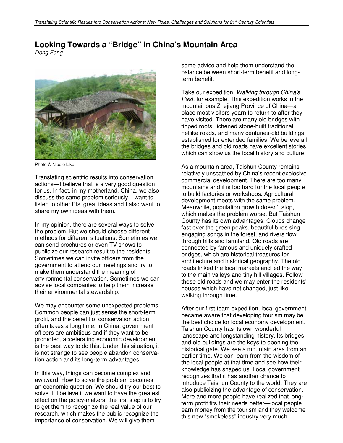### **Looking Towards a "Bridge" in China's Mountain Area**

Dong Feng



Photo © Nicole Like

Translating scientific results into conservation actions—I believe that is a very good question for us. In fact, in my motherland, China, we also discuss the same problem seriously. I want to listen to other PIs' great ideas and I also want to share my own ideas with them.

In my opinion, there are several ways to solve the problem. But we should choose different methods for different situations. Sometimes we can send brochures or even TV shows to publicize our research result to the residents. Sometimes we can invite officers from the government to attend our meetings and try to make them understand the meaning of environmental conservation. Sometimes we can advise local companies to help them increase their environmental stewardship.

We may encounter some unexpected problems. Common people can just sense the short-term profit, and the benefit of conservation action often takes a long time. In China, government officers are ambitious and if they want to be promoted, accelerating economic development is the best way to do this. Under this situation, it is not strange to see people abandon conservation action and its long-term advantages.

In this way, things can become complex and awkward. How to solve the problem becomes an economic question. We should try our best to solve it. I believe if we want to have the greatest effect on the policy-makers, the first step is to try to get them to recognize the real value of our research, which makes the public recognize the importance of conservation. We will give them

some advice and help them understand the balance between short-term benefit and longterm benefit.

Take our expedition, Walking through China's Past, for example. This expedition works in the mountainous Zhejiang Province of China—a place most visitors yearn to return to after they have visited. There are many old bridges with tipped roofs, lichened stone-built traditional netlike roads, and many centuries-old buildings established for extended families. We believe all the bridges and old roads have excellent stories which can show us the local history and culture.

As a mountain area, Taishun County remains relatively unscathed by China's recent explosive commercial development. There are too many mountains and it is too hard for the local people to build factories or workshops. Agricultural development meets with the same problem. Meanwhile, population growth doesn't stop, which makes the problem worse. But Taishun County has its own advantages: Clouds change fast over the green peaks, beautiful birds sing engaging songs in the forest, and rivers flow through hills and farmland. Old roads are connected by famous and uniquely crafted bridges, which are historical treasures for architecture and historical geography. The old roads linked the local markets and led the way to the main valleys and tiny hill villages. Follow these old roads and we may enter the residents' houses which have not changed, just like walking through time.

After our first team expedition, local government became aware that developing tourism may be the best choice for local economy development. Taishun County has its own wonderful landscape and longstanding history. Its bridges and old buildings are the keys to opening the historical gate. We see a mountain area from an earlier time. We can learn from the wisdom of the local people at that time and see how their knowledge has shaped us. Local government recognizes that it has another chance to introduce Taishun County to the world. They are also publicizing the advantage of conservation. More and more people have realized that longterm profit fits their needs better—local people earn money from the tourism and they welcome this new "smokeless" industry very much.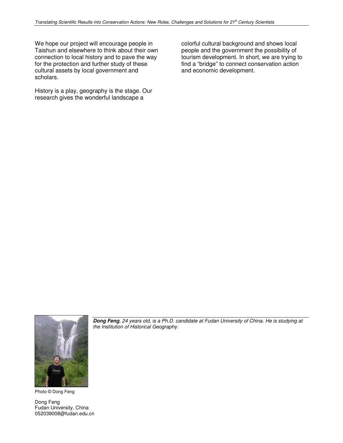We hope our project will encourage people in Taishun and elsewhere to think about their own connection to local history and to pave the way for the protection and further study of these cultural assets by local government and scholars.

History is a play, geography is the stage. Our research gives the wonderful landscape a

colorful cultural background and shows local people and the government the possibility of tourism development. In short, we are trying to find a "bridge" to connect conservation action and economic development.



Photo © Dong Feng

Dong Feng Fudan University, China 052039008@fudan.edu.cn

*Dong Feng*, 24 years old, is a Ph.D. candidate at Fudan University of China. He is studying at the Institution of Historical Geography.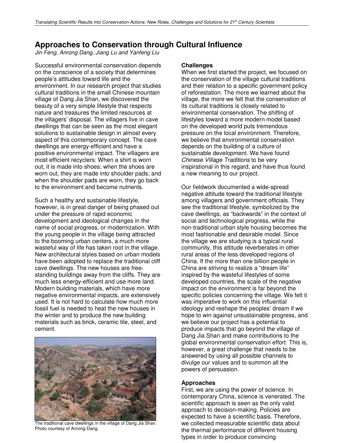### **Approaches to Conservation through Cultural Influence**

Jin Feng, Anrong Dang, Jiang Lu and Yanfeng Liu

Successful environmental conservation depends on the conscience of a society that determines people's attitudes toward life and the environment. In our research project that studies cultural traditions in the small Chinese mountain village of Dang Jia Shan, we discovered the beauty of a very simple lifestyle that respects nature and treasures the limited resources at the villagers' disposal. The villagers live in cave dwellings that can be seen as the most elegant solutions to sustainable design in almost every aspect of this contemporary concept. The cave dwellings are energy-efficient and have a positive environmental impact. The villagers are most efficient recyclers: When a shirt is worn out, it is made into shoes; when the shoes are worn out, they are made into shoulder pads; and when the shoulder pads are worn, they go back to the environment and become nutrients.

Such a healthy and sustainable lifestyle, however, is in great danger of being phased out under the pressure of rapid economic development and ideological changes in the name of social progress, or modernization. With the young people in the village being attracted to the booming urban centers, a much more wasteful way of life has taken root in the village. New architectural styles based on urban models have been adopted to replace the traditional cliff cave dwellings. The new houses are freestanding buildings away from the cliffs. They are much less energy-efficient and use more land. Modern building materials, which have more negative environmental impacts, are extensively used. It is not hard to calculate how much more fossil fuel is needed to heat the new houses in the winter and to produce the new building materials such as brick, ceramic tile, steel, and cement.



The traditional cave dwellings in the village of Dang Jia Shan. Photo courtesy of Anrong Dang.

### **Challenges**

When we first started the project, we focused on the conservation of the village cultural traditions and their relation to a specific government policy of reforestation. The more we learned about the village, the more we felt that the conservation of its cultural traditions is closely related to environmental conservation. The shifting of lifestyles toward a more modern model based on the developed world puts tremendous pressure on the local environment. Therefore, we believe that environmental conservation depends on the building of a culture of sustainable development. We have found Chinese Village Traditions to be very inspirational in this regard, and have thus found a new meaning to our project.

Our fieldwork documented a wide-spread negative attitude toward the traditional lifestyle among villagers and government officials. They see the traditional lifestyle, symbolized by the cave dwellings, as "backwards" in the context of social and technological progress, while the non-traditional urban style housing becomes the most fashionable and desirable model. Since the village we are studying is a typical rural community, this attitude reverberates in other rural areas of the less developed regions of China. If the more than one billion people in China are striving to realize a "dream life" inspired by the wasteful lifestyles of some developed countries, the scale of the negative impact on the environment is far beyond the specific policies concerning the village. We felt it was imperative to work on this influential ideology and reshape the peoples' dream if we hope to win against unsustainable progress, and we believe our project has a potential to produce impacts that go beyond the village of Dang Jia Shan and make contributions to the global environmental conservation effort. This is, however, a great challenge that needs to be answered by using all possible channels to divulge our values and to summon all the powers of persuasion.

### **Approaches**

First, we are using the power of science. In contemporary China, science is venerated. The scientific approach is seen as the only valid approach to decision-making. Policies are expected to have a scientific basis. Therefore, we collected measurable scientific data about the thermal performance of different housing types in order to produce convincing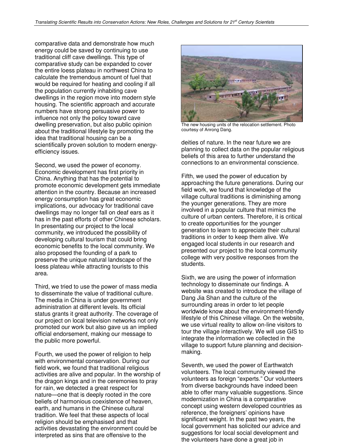comparative data and demonstrate how much energy could be saved by continuing to use traditional cliff cave dwellings. This type of comparative study can be expanded to cover the entire loess plateau in northwest China to calculate the tremendous amount of fuel that would be required for heating and cooling if all the population currently inhabiting cave dwellings in the region move into modern style housing. The scientific approach and accurate numbers have strong persuasive power to influence not only the policy toward cave dwelling preservation, but also public opinion about the traditional lifestyle by promoting the idea that traditional housing can be a scientifically proven solution to modern energyefficiency issues.

Second, we used the power of economy. Economic development has first priority in China. Anything that has the potential to promote economic development gets immediate attention in the country. Because an increased energy consumption has great economic implications, our advocacy for traditional cave dwellings may no longer fall on deaf ears as it has in the past efforts of other Chinese scholars. In presentating our project to the local community, we introduced the possibility of developing cultural tourism that could bring economic benefits to the local community. We also proposed the founding of a park to preserve the unique natural landscape of the loess plateau while attracting tourists to this area.

Third, we tried to use the power of mass media to disseminate the value of traditional culture. The media in China is under government administration at different levels. Its official status grants it great authority. The coverage of our project on local television networks not only promoted our work but also gave us an implied official endorsement, making our message to the public more powerful.

Fourth, we used the power of religion to help with environmental conservation. During our field work, we found that traditional religious activities are alive and popular. In the worship of the dragon kings and in the ceremonies to pray for rain, we detected a great respect for nature—one that is deeply rooted in the core beliefs of harmonious coexistence of heaven, earth, and humans in the Chinese cultural tradition. We feel that these aspects of local religion should be emphasised and that activities devastating the environment could be interpreted as sins that are offensive to the



The new housing units of the relocation settlement. Photo courtesy of Anrong Dang.

deities of nature. In the near future we are planning to collect data on the popular religious beliefs of this area to further understand the connections to an environmental conscience.

Fifth, we used the power of education by approaching the future generations. During our field work, we found that knowledge of the village cultural traditions is diminishing among the younger generations. They are more involved in a popular culture that mimics the culture of urban centers. Therefore, it is critical to create opportunities for the younger generation to learn to appreciate their cultural traditions in order to keep them alive. We engaged local students in our research and presented our project to the local community college with very positive responses from the students.

Sixth, we are using the power of information technology to disseminate our findings. A website was created to introduce the village of Dang Jia Shan and the culture of the surrounding areas in order to let people worldwide know about the environment-friendly lifestyle of this Chinese village. On the website, we use virtual reality to allow on-line visitors to tour the village interactively. We will use GIS to integrate the information we collected in the village to support future planning and decisionmaking.

Seventh, we used the power of Earthwatch volunteers. The local community viewed the volunteers as foreign "experts." Our volunteers from diverse backgrounds have indeed been able to offer many valuable suggestions. Since modernization in China is a comparative concept using western developed countries as reference, the foreigners' opinions have significant weight. In the past two years, the local government has solicited our advice and suggestions for local social development and the volunteers have done a great job in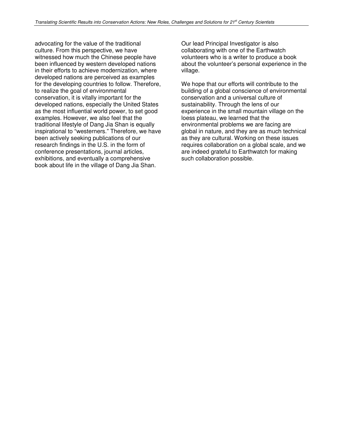advocating for the value of the traditional culture. From this perspective, we have witnessed how much the Chinese people have been influenced by western developed nations in their efforts to achieve modernization, where developed nations are perceived as examples for the developing countries to follow. Therefore, to realize the goal of environmental conservation, it is vitally important for the developed nations, especially the United States as the most influential world power, to set good examples. However, we also feel that the traditional lifestyle of Dang Jia Shan is equally inspirational to "westerners." Therefore, we have been actively seeking publications of our research findings in the U.S. in the form of conference presentations, journal articles, exhibitions, and eventually a comprehensive book about life in the village of Dang Jia Shan.

Our lead Principal Investigator is also collaborating with one of the Earthwatch volunteers who is a writer to produce a book about the volunteer's personal experience in the village.

We hope that our efforts will contribute to the building of a global conscience of environmental conservation and a universal culture of sustainability. Through the lens of our experience in the small mountain village on the loess plateau, we learned that the environmental problems we are facing are global in nature, and they are as much technical as they are cultural. Working on these issues requires collaboration on a global scale, and we are indeed grateful to Earthwatch for making such collaboration possible.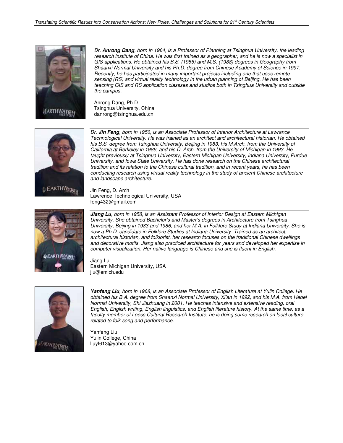

Dr. *Anrong Dang*, born in 1964, is a Professor of Planning at Tsinghua University, the leading research institute of China. He was first trained as a geographer, and he is now a specialist in GIS applications. He obtained his B.S. (1985) and M.S. (1988) degrees in Geography from Shaanxi Normal University and his Ph.D. degree from Chinese Academy of Science in 1997. Recently, he has participated in many important projects including one that uses remote sensing (RS) and virtual reality technology in the urban planning of Beijing. He has been teaching GIS and RS application classses and studios both in Tsinghua University and outside the campus.

Anrong Dang, Ph.D. Tsinghua University, China danrong@tsinghua.edu.cn



Dr. *Jin Feng*, born in 1956, is an Associate Professor of Interior Architecture at Lawrance Technological University. He was trained as an architect and architectural historian. He obtained his B.S. degree from Tsinghua University, Beijing in 1983, his M.Arch. from the University of California at Berkeley in 1986, and his D. Arch. from the University of Michigan in 1993. He taught previously at Tsinghua University, Eastern Michigan University, Indiana University, Purdue University, and Iowa State University. He has done research on the Chinese architectural tradition and its relation to the Chinese cultural tradition, and in recent years, he has been conducting research using virtual reality technology in the study of ancient Chinese architecture and landscape architecture.

Jin Feng, D. Arch Lawrence Technological University, USA feng432@gmail.com



*Jiang Lu*, born in 1958, is an Assistant Professor of Interior Design at Eastern Michigan University. She obtained Bachelor's and Master's degrees in Architecture from Tsinghua University, Beijing in 1983 and 1986, and her M.A. in Folklore Study at Indiana University. She is now a Ph.D. candidate in Folklore Studies at Indiana University. Trained as an architect, architectural historian, and folklorist, her research focuses on the traditional Chinese dwellings and decorative motifs. Jiang also practiced architecture for years and developed her expertise in computer visualization. Her native language is Chinese and she is fluent in English.

Jiang Lu Eastern Michigan University, USA jlu@emich.edu



*Yanfeng Liu*, born in 1968, is an Associate Professor of English Literature at Yulin College. He obtained his B.A. degree from Shaanxi Normal University, Xi'an in 1992, and his M.A. from Hebei Normal University, Shi Jiazhuang in 2001. He teaches intensive and extensive reading, oral English, English writing, English linguistics, and English literature history. At the same time, as a faculty member of Loess Cultural Research Institute, he is doing some research on local culture related to folk song and performance.

Yanfeng Liu Yulin College, China liuyf613@yahoo.com.cn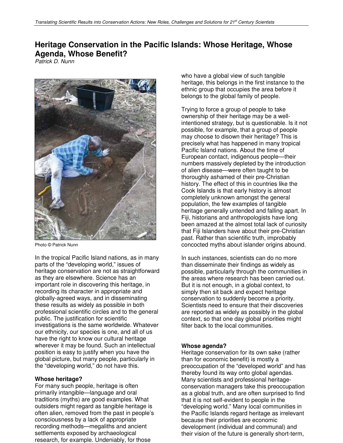## **Heritage Conservation in the Pacific Islands: Whose Heritage, Whose Agenda, Whose Benefit?**

Patrick D. Nunn



Photo © Patrick Nunn

In the tropical Pacific Island nations, as in many parts of the "developing world," issues of heritage conservation are not as straightforward as they are elsewhere. Science has an important role in discovering this heritage, in recording its character in appropriate and globally-agreed ways, and in disseminating these results as widely as possible in both professional scientific circles and to the general public. The justification for scientific investigations is the same worldwide. Whatever our ethnicity, our species is one, and all of us have the right to know our cultural heritage wherever it may be found. Such an intellectual position is easy to justify when you have the global picture, but many people, particularly in the "developing world," do not have this.

### **Whose heritage?**

For many such people, heritage is often primarily intangible—language and oral traditions (myths) are good examples. What outsiders might regard as tangible heritage is often alien, removed from the past in people's consciousness by a lack of appropriate recording methods—megaliths and ancient settlements exposed by archaeological research, for example. Undeniably, for those

who have a global view of such tangible heritage, this belongs in the first instance to the ethnic group that occupies the area before it belongs to the global family of people.

Trying to force a group of people to take ownership of their heritage may be a wellintentioned strategy, but is questionable. Is it not possible, for example, that a group of people may choose to disown their heritage? This is precisely what has happened in many tropical Pacific Island nations. About the time of European contact, indigenous people—their numbers massively depleted by the introduction of alien disease—were often taught to be thoroughly ashamed of their pre-Christian history. The effect of this in countries like the Cook Islands is that early history is almost completely unknown amongst the general population, the few examples of tangible heritage generally untended and falling apart. In Fiji, historians and anthropologists have long been amazed at the almost total lack of curiosity that Fiji Islanders have about their pre-Christian past. Rather than scientific truth, improbably concocted myths about islander origins abound.

In such instances, scientists can do no more than disseminate their findings as widely as possible, particularly through the communities in the areas where research has been carried out. But it is not enough, in a global context, to simply then sit back and expect heritage conservation to suddenly become a priority. Scientists need to ensure that their discoveries are reported as widely as possibly in the global context, so that one day global priorities might filter back to the local communities.

### **Whose agenda?**

Heritage conservation for its own sake (rather than for economic benefit) is mostly a preoccupation of the "developed world" and has thereby found its way onto global agendas. Many scientists and professional heritageconservation managers take this preoccupation as a global truth, and are often surprised to find that it is not self-evident to people in the "developing world." Many local communities in the Pacific Islands regard heritage as irrelevant because their priorities are economic development (individual and communal) and their vision of the future is generally short-term,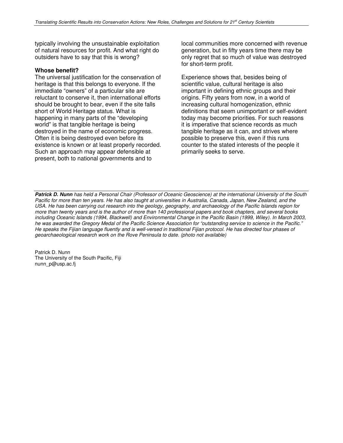typically involving the unsustainable exploitation of natural resources for profit. And what right do outsiders have to say that this is wrong?

### **Whose benefit?**

The universal justification for the conservation of heritage is that this belongs to everyone. If the immediate "owners" of a particular site are reluctant to conserve it, then international efforts should be brought to bear, even if the site falls short of World Heritage status. What is happening in many parts of the "developing world" is that tangible heritage is being destroyed in the name of economic progress. Often it is being destroyed even before its existence is known or at least properly recorded. Such an approach may appear defensible at present, both to national governments and to

local communities more concerned with revenue generation, but in fifty years time there may be only regret that so much of value was destroyed for short-term profit.

Experience shows that, besides being of scientific value, cultural heritage is also important in defining ethnic groups and their origins. Fifty years from now, in a world of increasing cultural homogenization, ethnic definitions that seem unimportant or self-evident today may become priorities. For such reasons it is imperative that science records as much tangible heritage as it can, and strives where possible to preserve this, even if this runs counter to the stated interests of the people it primarily seeks to serve.

*Patrick D. Nunn* has held a Personal Chair (Professor of Oceanic Geoscience) at the international University of the South Pacific for more than ten years. He has also taught at universities in Australia, Canada, Japan, New Zealand, and the USA. He has been carrying out research into the geology, geography, and archaeology of the Pacific Islands region for more than twenty years and is the author of more than 140 professional papers and book chapters, and several books including Oceanic Islands (1994, Blackwell) and Environmental Change in the Pacific Basin (1999, Wiley). In March 2003, he was awarded the Gregory Medal of the Pacific Science Association for "outstanding service to science in the Pacific." He speaks the Fijian language fluently and is well-versed in traditional Fijian protocol. He has directed four phases of geoarchaeological research work on the Rove Peninsula to date. (photo not available)

Patrick D. Nunn The University of the South Pacific, Fiji nunn\_p@usp.ac.fj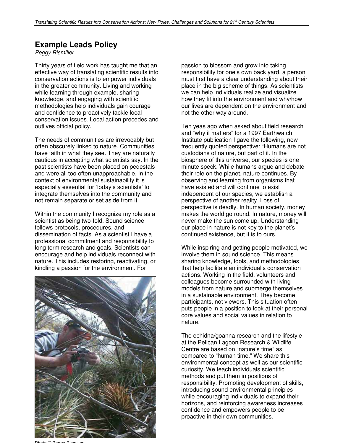### **Example Leads Policy**

Peggy Rismiller

Thirty years of field work has taught me that an effective way of translating scientific results into conservation actions is to empower individuals in the greater community. Living and working while learning through example, sharing knowledge, and engaging with scientific methodologies help individuals gain courage and confidence to proactively tackle local conservation issues. Local action precedes and outlives official policy.

The needs of communities are irrevocably but often obscurely linked to nature. Communities have faith in what they see. They are naturally cautious in accepting what scientists say. In the past scientists have been placed on pedestals and were all too often unapproachable. In the context of environmental sustainability it is especially essential for 'today's scientists' to integrate themselves into the community and not remain separate or set aside from it.

Within the community I recognize my role as a scientist as being two-fold. Sound science follows protocols, procedures, and dissemination of facts. As a scientist I have a professional commitment and responsibility to long term research and goals. Scientists can encourage and help individuals reconnect with nature. This includes restoring, reactivating, or kindling a passion for the environment. For



Photo © Peggy Rismiller

passion to blossom and grow into taking responsibility for one's own back yard, a person must first have a clear understanding about their place in the big scheme of things. As scientists we can help individuals realize and visualize how they fit into the environment and why/how our lives are dependent on the environment and not the other way around.

Ten yeas ago when asked about field research and "why it matters" for a 1997 Earthwatch Institute publication I gave the following, now frequently quoted perspective: "Humans are not custodians of nature, but part of it. In the biosphere of this universe, our species is one minute speck. While humans argue and debate their role on the planet, nature continues. By observing and learning from organisms that have existed and will continue to exist independent of our species, we establish a perspective of another reality. Loss of perspective is deadly. In human society, money makes the world go round. In nature, money will never make the sun come up. Understanding our place in nature is not key to the planet's continued existence, but it is to ours."

While inspiring and getting people motivated, we involve them in sound science. This means sharing knowledge, tools, and methodologies that help facilitate an individual's conservation actions. Working in the field, volunteers and colleagues become surrounded with living models from nature and submerge themselves in a sustainable environment. They become participants, not viewers. This situation often puts people in a position to look at their personal core values and social values in relation to nature.

The echidna/goanna research and the lifestyle at the Pelican Lagoon Research & Wildlife Centre are based on "nature's time" as compared to "human time." We share this environmental concept as well as our scientific curiosity. We teach individuals scientific methods and put them in positions of responsibility. Promoting development of skills, introducing sound environmental principles while encouraging individuals to expand their horizons, and reinforcing awareness increases confidence and empowers people to be proactive in their own communities.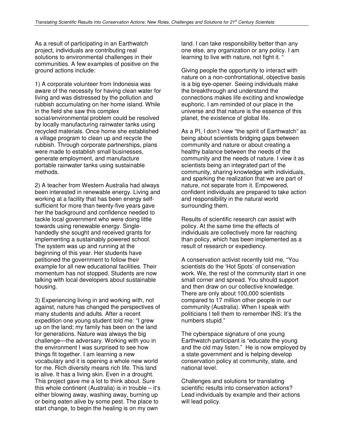As a result of participating in an Earthwatch project, individuals are contributing real solutions to environmental challenges in their communities. A few examples of positive on the ground actions include:

1) A corporate volunteer from Indonesia was aware of the necessity for having clean water for living and was distressed by the pollution and rubbish accumulating on her home island. While in the field she saw this complex social/environmental problem could be resolved by locally manufacturing rainwater tanks using recycled materials. Once home she established a village program to clean up and recycle the rubbish. Through corporate partnerships, plans were made to establish small businesses, generate employment, and manufacture portable rainwater tanks using sustainable methods.

2) A teacher from Western Australia had always been interested in renewable energy. Living and working at a facility that has been energy selfsufficient for more than twenty-five years gave her the background and confidence needed to tackle local government who were doing little towards using renewable energy. Singlehandedly she sought and received grants for implementing a sustainably powered school. The system was up and running at the beginning of this year. Her students have petitioned the government to follow their example for all new educational facilities. Their momentum has not stopped. Students are now talking with local developers about sustainable housing.

3) Experiencing living in and working with, not against, nature has changed the perspectives of many students and adults. After a recent expedition one young student told me: "I grew up on the land; my family has been on the land for generations. Nature was always the big challenge—the adversary. Working with you in the environment I was surprised to see how things fit together. I am learning a new vocabulary and it is opening a whole new world for me. Rich diversity means rich life. This land is alive. It has a living skin. Even in a drought. This project gave me a lot to think about. Sure this whole continent (Australia) is in trouble – it's either blowing away, washing away, burning up or being eaten alive by some pest. The place to start change, to begin the healing is on my own

land. I can take responsibility better than any one else, any organization or any policy. I am learning to live with nature, not fight it.

Giving people the opportunity to interact with nature on a non-confrontational, objective basis is a big eye-opener. Seeing individuals make the breakthrough and understand the connections makes life exciting and knowledge euphoric. I am reminded of our place in the universe and that nature is the essence of this planet, the existence of global life.

As a PI, I don't view "the spirit of Earthwatch" as being about scientists bridging gaps between community and nature or about creating a healthy balance between the needs of the community and the needs of nature. I view it as scientists being an integrated part of the community, sharing knowledge with individuals, and sparking the realization that we are part of nature, not separate from it. Empowered, confident individuals are prepared to take action and responsibility in the natural world surrounding them.

Results of scientific research can assist with policy. At the same time the effects of individuals are collectively more far reaching than policy, which has been implemented as a result of research or expediency.

A conservation activist recently told me, "You scientists do the 'Hot Spots' of conservation work. We, the rest of the community start in one small corner and spread. You should support and then draw on our collective knowledge. There are only about 100,000 scientists compared to 17 million other people in our community (Australia). When I speak with politicians I tell them to remember INS: It's the numbers stupid."

The cyberspace signature of one young Earthwatch participant is "educate the young and the old may listen." He is now employed by a state government and is helping develop conservation policy at community, state, and national level.

Challenges and solutions for translating scientific results into conservation actions? Lead individuals by example and their actions will lead policy.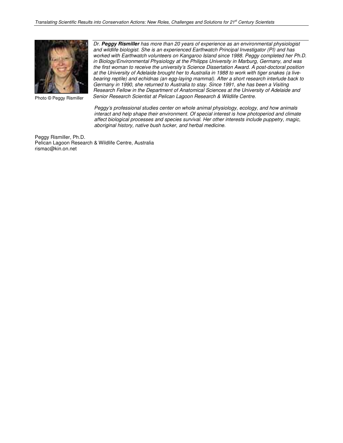

Photo © Peggy Rismiller

Dr. *Peggy Rismiller* has more than 20 years of experience as an environmental physiologist and wildlife biologist. She is an experienced Earthwatch Principal Investigator (PI) and has worked with Earthwatch volunteers on Kangaroo Island since 1988. Peggy completed her Ph.D. in Biology/Environmental Physiology at the Philipps University in Marburg, Germany, and was the first woman to receive the university's Science Dissertation Award. A post-doctoral position at the University of Adelaide brought her to Australia in 1988 to work with tiger snakes (a livebearing reptile) and echidnas (an egg-laying mammal). After a short research interlude back to Germany in 1990, she returned to Australia to stay. Since 1991, she has been a Visiting Research Fellow in the Department of Anatomical Sciences at the University of Adelaide and Senior Research Scientist at Pelican Lagoon Research & Wildlife Centre.

Peggy's professional studies center on whole animal physiology, ecology, and how animals interact and help shape their environment. Of special interest is how photoperiod and climate affect biological processes and species survival. Her other interests include puppetry, magic, aboriginal history, native bush tucker, and herbal medicine.

Peggy Rismiller, Ph.D. Pelican Lagoon Research & Wildlife Centre, Australia rismac@kin.on.net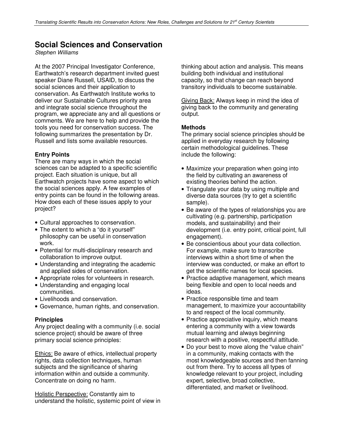### **Social Sciences and Conservation**

Stephen Williams

At the 2007 Principal Investigator Conference, Earthwatch's research department invited guest speaker Diane Russell, USAID, to discuss the social sciences and their application to conservation. As Earthwatch Institute works to deliver our Sustainable Cultures priority area and integrate social science throughout the program, we appreciate any and all questions or comments. We are here to help and provide the tools you need for conservation success. The following summarizes the presentation by Dr. Russell and lists some available resources.

### **Entry Points**

There are many ways in which the social sciences can be adapted to a specific scientific project. Each situation is unique, but all Earthwatch projects have some aspect to which the social sciences apply. A few examples of entry points can be found in the following areas. How does each of these issues apply to your project?

- Cultural approaches to conservation.
- The extent to which a "do it yourself" philosophy can be useful in conservation work.
- Potential for multi-disciplinary research and collaboration to improve output.
- Understanding and integrating the academic and applied sides of conservation.
- Appropriate roles for volunteers in research.
- Understanding and engaging local communities.
- Livelihoods and conservation.
- Governance, human rights, and conservation.

### **Principles**

Any project dealing with a community (i.e. social science project) should be aware of three primary social science principles:

Ethics: Be aware of ethics, intellectual property rights, data collection techniques, human subjects and the significance of sharing information within and outside a community. Concentrate on doing no harm.

Holistic Perspective: Constantly aim to understand the holistic, systemic point of view in

thinking about action and analysis. This means building both individual and institutional capacity, so that change can reach beyond transitory individuals to become sustainable.

Giving Back: Always keep in mind the idea of giving back to the community and generating output.

#### **Methods**

The primary social science principles should be applied in everyday research by following certain methodological guidelines. These include the following:

- Maximize your preparation when going into the field by cultivating an awareness of existing theories behind the action.
- Triangulate your data by using multiple and diverse data sources (try to get a scientific sample).
- Be aware of the types of relationships you are cultivating (e.g. partnership, participation models, and sustainability) and their development (i.e. entry point, critical point, full engagement).
- Be conscientious about your data collection. For example, make sure to transcribe interviews within a short time of when the interview was conducted, or make an effort to get the scientific names for local species.
- Practice adaptive management, which means being flexible and open to local needs and ideas.
- Practice responsible time and team management, to maximize your accountability to and respect of the local community.
- Practice appreciative inquiry, which means entering a community with a view towards mutual learning and always beginning research with a positive, respectful attitude.
- Do your best to move along the "value chain" in a community, making contacts with the most knowledgeable sources and then fanning out from there. Try to access all types of knowledge relevant to your project, including expert, selective, broad collective, differentiated, and market or livelihood.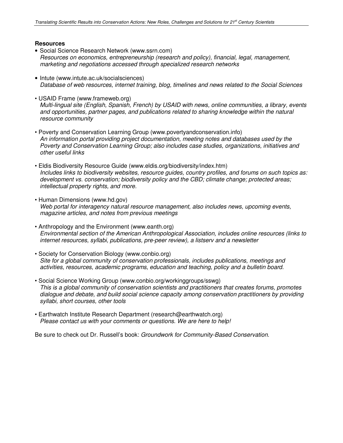### **Resources**

- Social Science Research Network (www.ssrn.com) Resources on economics, entrepreneurship (research and policy), financial, legal, management, marketing and negotiations accessed through specialized research networks
- Intute (www.intute.ac.uk/socialsciences) Database of web resources, internet training, blog, timelines and news related to the Social Sciences
- USAID Frame (www.frameweb.org) Multi-lingual site (English, Spanish, French) by USAID with news, online communities, a library, events and opportunities, partner pages, and publications related to sharing knowledge within the natural resource community
- Poverty and Conservation Learning Group (www.povertyandconservation.info) An information portal providing project documentation, meeting notes and databases used by the Poverty and Conservation Learning Group; also includes case studies, organizations, initiatives and other useful links
- Eldis Biodiversity Resource Guide (www.eldis.org/biodiversity/index.htm) Includes links to biodiversity websites, resource guides, country profiles, and forums on such topics as: development vs. conservation; biodiversity policy and the CBD; climate change; protected areas; intellectual property rights, and more.
- Human Dimensions (www.hd.gov) Web portal for interagency natural resource management, also includes news, upcoming events, magazine articles, and notes from previous meetings
- Anthropology and the Environment (www.eanth.org) Environmental section of the American Anthropological Association, includes online resources (links to internet resources, syllabi, publications, pre-peer review), a listserv and a newsletter
- Society for Conservation Biology (www.conbio.org) Site for a global community of conservation professionals, includes publications, meetings and activities, resources, academic programs, education and teaching, policy and a bulletin board.
- Social Science Working Group (www.conbio.org/workinggroups/sswg) This is a global community of conservation scientists and practitioners that creates forums, promotes dialogue and debate, and build social science capacity among conservation practitioners by providing syllabi, short courses, other tools
- Earthwatch Institute Research Department (research@earthwatch.org) Please contact us with your comments or questions. We are here to help!

Be sure to check out Dr. Russell's book: Groundwork for Community-Based Conservation.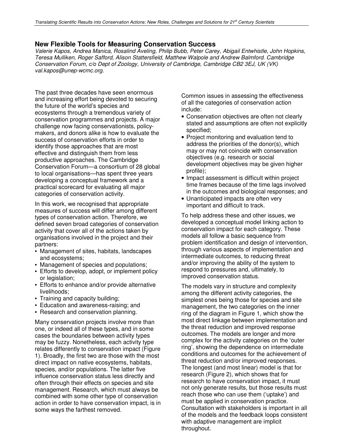### **New Flexible Tools for Measuring Conservation Success**

Valerie Kapos, Andrea Manica, Rosalind Aveling, Philip Bubb, Peter Carey, Abigail Entwhistle, John Hopkins, Teresa Mulliken, Roger Safford, Alison Stattersfield, Matthew Walpole and Andrew Balmford. Cambridge Conservation Forum, c/o Dept of Zoology, University of Cambridge, Cambridge CB2 3EJ, UK (VK) val.kapos@unep-wcmc.org.

The past three decades have seen enormous and increasing effort being devoted to securing the future of the world's species and ecosystems through a tremendous variety of conservation programmes and projects. A major challenge now facing conservationists, policymakers, and donors alike is how to evaluate the success of conservation efforts in order to identify those approaches that are most effective and distinguish them from less productive approaches. The Cambridge Conservation Forum—a consortium of 28 global to local organisations—has spent three years developing a conceptual framework and a practical scorecard for evaluating all major categories of conservation activity.

In this work, we recognised that appropriate measures of success will differ among different types of conservation action. Therefore, we defined seven broad categories of conservation activity that cover all of the actions taken by organisations involved in the project and their partners:

- Management of sites, habitats, landscapes and ecosystems;
- Management of species and populations;
- Efforts to develop, adopt, or implement policy or legislation;
- Efforts to enhance and/or provide alternative livelihoods;
- Training and capacity building;
- Education and awareness-raising; and
- Research and conservation planning.

Many conservation projects involve more than one, or indeed all of these types, and in some cases the boundaries between activity types may be fuzzy. Nonetheless, each activity type relates differently to conservation impact (Figure 1). Broadly, the first two are those with the most direct impact on native ecosystems, habitats, species, and/or populations. The latter five influence conservation status less directly and often through their effects on species and site management. Research, which must always be combined with some other type of conservation action in order to have conservation impact, is in some ways the farthest removed.

Common issues in assessing the effectiveness of all the categories of conservation action include:

- Conservation objectives are often not clearly stated and assumptions are often not explicitly specified;
- Project monitoring and evaluation tend to address the priorities of the donor(s), which may or may not coincide with conservation objectives (e.g. research or social development objectives may be given higher profile);
- Impact assessment is difficult within project time frames because of the time lags involved in the outcomes and biological responses; and
- Unanticipated impacts are often very important and difficult to track.

To help address these and other issues, we developed a conceptual model linking action to conservation impact for each category. These models all follow a basic sequence from problem identification and design of intervention, through various aspects of implementation and intermediate outcomes, to reducing threat and/or improving the ability of the system to respond to pressures and, ultimately, to improved conservation status.

The models vary in structure and complexity among the different activity categories, the simplest ones being those for species and site management, the two categories on the inner ring of the diagram in Figure 1, which show the most direct linkage between implementation and the threat reduction and improved response outcomes. The models are longer and more complex for the activity categories on the 'outer ring', showing the dependence on intermediate conditions and outcomes for the achievement of threat reduction and/or improved responses. The longest (and most linear) model is that for research (Figure 2), which shows that for research to have conservation impact, it must not only generate results, but those results must reach those who can use them ('uptake') and must be applied in conservation practice. Consultation with stakeholders is important in all of the models and the feedback loops consistent with adaptive management are implicit throughout.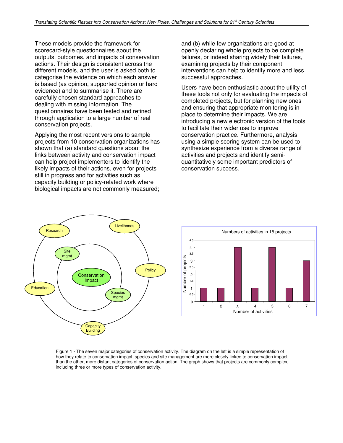These models provide the framework for scorecard-style questionnaires about the outputs, outcomes, and impacts of conservation actions. Their design is consistent across the different models, and the user is asked both to categorise the evidence on which each answer is based (as opinion, supported opinion or hard evidence) and to summarise it. There are carefully chosen standard approaches to dealing with missing information. The questionnaires have been tested and refined through application to a large number of real conservation projects.

Applying the most recent versions to sample projects from 10 conservation organizations has shown that (a) standard questions about the links between activity and conservation impact can help project implementers to identify the likely impacts of their actions, even for projects still in progress and for activities such as capacity building or policy-related work where biological impacts are not commonly measured;

and (b) while few organizations are good at openly declaring whole projects to be complete failures, or indeed sharing widely their failures, examining projects by their component interventions can help to identify more and less successful approaches.

Users have been enthusiastic about the utility of these tools not only for evaluating the impacts of completed projects, but for planning new ones and ensuring that appropriate monitoring is in place to determine their impacts. We are introducing a new electronic version of the tools to facilitate their wider use to improve conservation practice. Furthermore, analysis using a simple scoring system can be used to synthesize experience from a diverse range of activities and projects and identify semiquantitatively some important predictors of conservation success.





Figure 1 - The seven major categories of conservation activity. The diagram on the left is a simple representation of how they relate to conservation impact; species and site management are more closely linked to conservation impact than the other, more distant categories of conservation action. The graph shows that projects are commonly complex, including three or more types of conservation activity.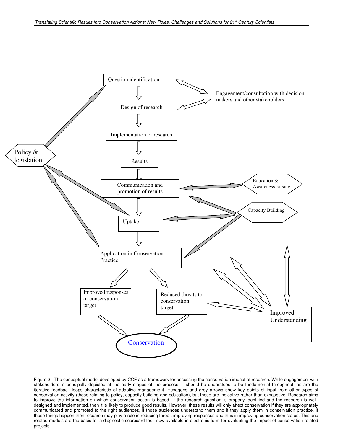

Figure 2 - The conceptual model developed by CCF as a framework for assessing the conservation impact of research. While engagement with stakeholders is principally depicted at the early stages of the process, it should be understood to be fundamental throughout, as are the iterative feedback loops characteristic of adaptive management. Hexagons and grey arrows show key points of input from other types of conservation activity (those relating to policy, capacity building and education), but these are indicative rather than exhaustive. Research aims to improve the information on which conservation action is based. If the research question is properly identified and the research is welldesigned and implemented, then it is likely to produce good results. However, these results will only affect conservation if they are appropriately communicated and promoted to the right audiences, if those audiences understand them and if they apply them in conservation practice. If these things happen then research may play a role in reducing threat, improving responses and thus in improving conservation status. This and related models are the basis for a diagnostic scorecard tool, now available in electronic form for evaluating the impact of conservation-related projects.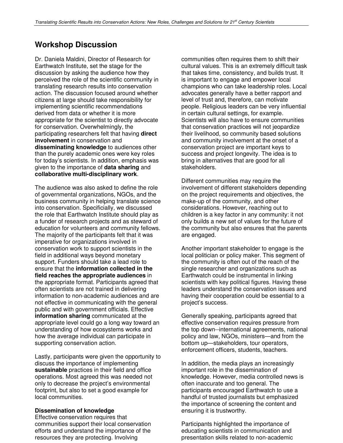### **Workshop Discussion**

Dr. Daniela Maldini, Director of Research for Earthwatch Institute, set the stage for the discussion by asking the audience how they perceived the role of the scientific community in translating research results into conservation action. The discussion focused around whether citizens at large should take responsibility for implementing scientific recommendations derived from data or whether it is more appropriate for the scientist to directly advocate for conservation. Overwhelmingly, the participating researchers felt that having **direct involvement** in conservation and **disseminating knowledge** to audiences other than the purely academic ones were key roles for today's scientists. In addition, emphasis was given to the importance of **data sharing** and **collaborative multi-disciplinary work**.

The audience was also asked to define the role of governmental organizations, NGOs, and the business community in helping translate science into conservation. Specificially, we discussed the role that Earthwatch Institute should play as a funder of research projects and as steward of education for volunteers and community fellows. The majority of the participants felt that it was imperative for organizations involved in conservation work to support scientists in the field in additional ways beyond monetary support. Funders should take a lead role to ensure that the **information collected in the field reaches the appropriate audiences** in the appropriate format. Participants agreed that often scientists are not trained in delivering information to non-academic audiences and are not effective in communicating with the general public and with government officials. Effective **information sharing** communicated at the appropriate level could go a long way toward an understanding of how ecosystems works and how the average individual can participate in supporting conservation action.

Lastly, participants were given the opportunity to discuss the importance of implementing **sustainable** practices in their field and office operations. Most agreed this was needed not only to decrease the project's environmental footprint, but also to set a good example for local communities.

### **Dissemination of knowledge**

Effective conservation requires that communities support their local conservation efforts and understand the importance of the resources they are protecting. Involving

communities often requires them to shift their cultural values. This is an extremely difficult task that takes time, consistency, and builds trust. It is important to engage and empower local champions who can take leadership roles. Local advocates generally have a better rapport and level of trust and, therefore, can motivate people. Religious leaders can be very influential in certain cultural settings, for example. Scientists will also have to ensure communities that conservation practices will not jeopardize their livelihood, so community based solutions and community involvement at the onset of a conservation project are important keys to success and project longevity. The idea is to bring in alternatives that are good for all stakeholders.

Different communities may require the involvement of different stakeholders depending on the project requirements and objectives, the make-up of the community, and other considerations. However, reaching out to children is a key factor in any community: it not only builds a new set of values for the future of the community but also ensures that the parents are engaged.

Another important stakeholder to engage is the local politician or policy maker. This segment of the community is often out of the reach of the single researcher and organizations such as Earthwatch could be instrumental in linking scientists with key political figures. Having these leaders understand the conservation issues and having their cooperation could be essential to a project's success.

Generally speaking, participants agreed that effective conservation requires pressure from the top down--international agreements, national policy and law, NGOs, ministers—and from the bottom up—stakeholders, tour operators, enforcement officers, students, teachers.

In addition, the media plays an increasingly important role in the dissemination of knowledge. However, media controlled news is often inaccurate and too general. The participants encouraged Earthwatch to use a handful of trusted journalists but emphasized the importance of screening the content and ensuring it is trustworthy.

Participants highlighted the importance of educating scientists in communication and presentation skills related to non-academic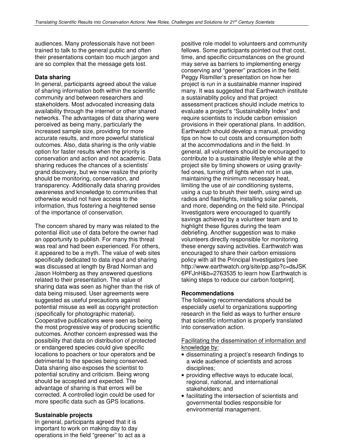audiences. Many professionals have not been trained to talk to the general public and often their presentations contain too much jargon and are so complex that the message gets lost.

### **Data sharing**

In general, participants agreed about the value of sharing information both within the scientific community and between researchers and stakeholders. Most advocated increasing data availability through the internet or other shared networks. The advantages of data sharing were perceived as being many, particularly the increased sample size, providing for more accurate results, and more powerful statistical outcomes. Also, data sharing is the only viable option for faster results when the priority is conservation and action and not academic. Data sharing reduces the chances of a scientists' grand discovery, but we now realize the priority should be monitoring, conservation, and transparency. Additionally data sharing provides awareness and knowledge to communities that otherwise would not have access to the information, thus fostering a heightened sense of the importance of conservation.

The concern shared by many was related to the potential illicit use of data before the owner had an opportunity to publish. For many this threat was real and had been experienced. For others, it appeared to be a myth. The value of web sites specifically dedicated to data input and sharing was discussed at length by Brad Norman and Jason Holmberg as they answered questions related to their presentation. The value of sharing data was seen as higher than the risk of data being misused. User agreements were suggested as useful precautions against potential misuse as well as copyright protection (specifically for photographic material). Cooperative publications were seen as being the most progressive way of producing scientific outcomes. Another concern expressed was the possibility that data on distribution of protected or endangered species could give specific locations to poachers or tour operators and be detrimental to the species being conserved. Data sharing also exposes the scientist to potential scrutiny and criticism. Being wrong should be accepted and expected. The advantage of sharing is that errors will be corrected. A controlled login could be used for more specific data such as GPS locations.

### **Sustainable projects**

In general, participants agreed that it is important to work on making day to day operations in the field "greener" to act as a

positive role model to volunteers and community fellows. Some participants pointed out that cost, time, and specific circumstances on the ground may serve as barriers to implementing energy conserving and "geener" practices in the field. Peggy Rismiller's presentation on how her project is run in a sustainable manner inspired many. It was suggested that Earthwatch institute a sustainablity policy and that project assessment practices should include metrics to evaluate a project's "Sustainability Index" and require scientists to include carbon emission provisions in their operational plans. In addition, Earthwatch should develop a manual, providing tips on how to cut costs and consumption both at the accommodations and in the field. In general, all volunteers should be encouraged to contribute to a sustainable lifestyle while at the project site by timing showers or using gravityfed ones, turning off lights when not in use, maintaining the minimum necessary heat, limiting the use of air conditioning systems, using a cup to brush their teeth, using wind up radios and flashlights, installing solar panels, and more, depending on the field site. Principal Investigators were encouraged to quantify savings achieved by a volunteer team and to highlight these figures during the team debriefing. Another suggestion was to make volunteers directly responsible for monitoring these energy saving activities. Earthwatch was encouraged to share their carbon emissions policy with all the Principal Investigators [see http://www.earthwatch.org/site/pp.asp?c=dsJSK 6PFJnH&b=2763535 to learn how Earthwatch is taking steps to reduce our carbon footprint].

### **Recommendations**

The following recommendations should be especially useful to organizations supporting research in the field as ways to further ensure that scientific information is properly translated into conservation action.

### Facilitating the dissemination of information and knowledge by:

- disseminating a project's research findings to a wide audience of scientists and across disciplines;
- providing effective ways to educate local, regional, national, and international stakeholders; and
- facilitating the intersection of scientists and governmental bodies responsible for environmental management.